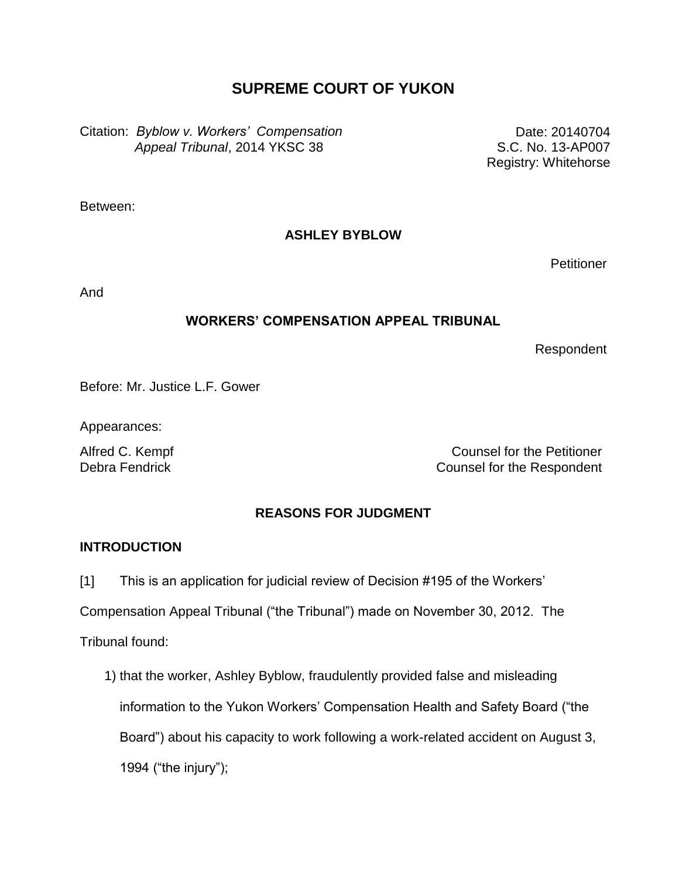# **SUPREME COURT OF YUKON**

Citation: *Byblow v. Workers' Compensation Appeal Tribunal*, 2014 YKSC 38

Date: 20140704 S.C. No. 13-AP007 Registry: Whitehorse

Between:

## **ASHLEY BYBLOW**

**Petitioner** 

And

## **WORKERS' COMPENSATION APPEAL TRIBUNAL**

Respondent

Before: Mr. Justice L.F. Gower

Appearances:

Alfred C. Kempf **Counsel for the Petitioner** Debra Fendrick Counsel for the Respondent

# **REASONS FOR JUDGMENT**

## **INTRODUCTION**

[1] This is an application for judicial review of Decision #195 of the Workers'

Compensation Appeal Tribunal ("the Tribunal") made on November 30, 2012. The

Tribunal found:

1) that the worker, Ashley Byblow, fraudulently provided false and misleading information to the Yukon Workers' Compensation Health and Safety Board ("the Board") about his capacity to work following a work-related accident on August 3, 1994 ("the injury");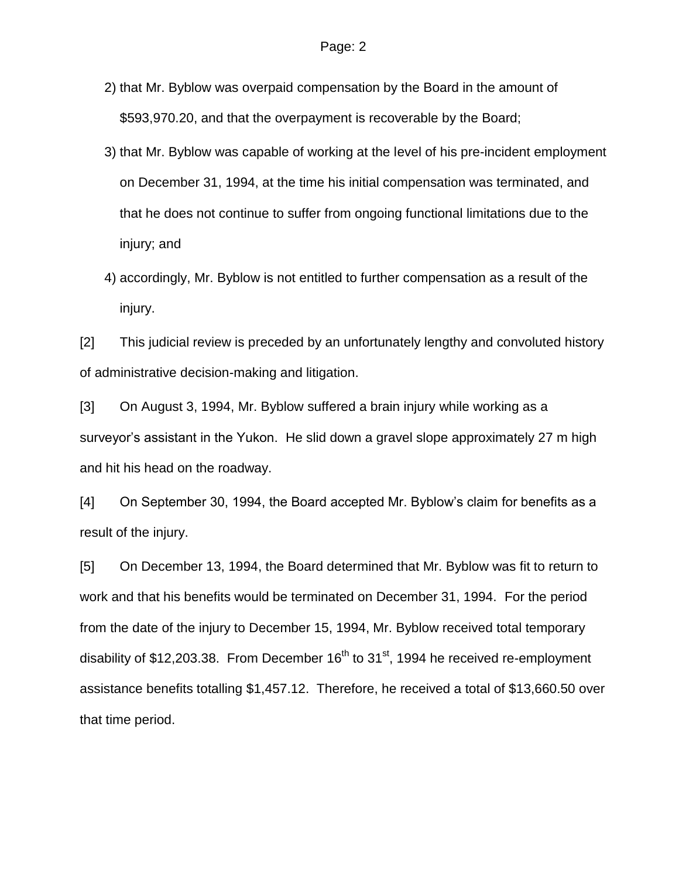- 2) that Mr. Byblow was overpaid compensation by the Board in the amount of \$593,970.20, and that the overpayment is recoverable by the Board;
- 3) that Mr. Byblow was capable of working at the level of his pre-incident employment on December 31, 1994, at the time his initial compensation was terminated, and that he does not continue to suffer from ongoing functional limitations due to the injury; and
- 4) accordingly, Mr. Byblow is not entitled to further compensation as a result of the injury.

[2] This judicial review is preceded by an unfortunately lengthy and convoluted history of administrative decision-making and litigation.

[3] On August 3, 1994, Mr. Byblow suffered a brain injury while working as a surveyor's assistant in the Yukon. He slid down a gravel slope approximately 27 m high and hit his head on the roadway.

[4] On September 30, 1994, the Board accepted Mr. Byblow's claim for benefits as a result of the injury.

[5] On December 13, 1994, the Board determined that Mr. Byblow was fit to return to work and that his benefits would be terminated on December 31, 1994. For the period from the date of the injury to December 15, 1994, Mr. Byblow received total temporary disability of \$12,203.38. From December  $16<sup>th</sup>$  to 31<sup>st</sup>, 1994 he received re-employment assistance benefits totalling \$1,457.12. Therefore, he received a total of \$13,660.50 over that time period.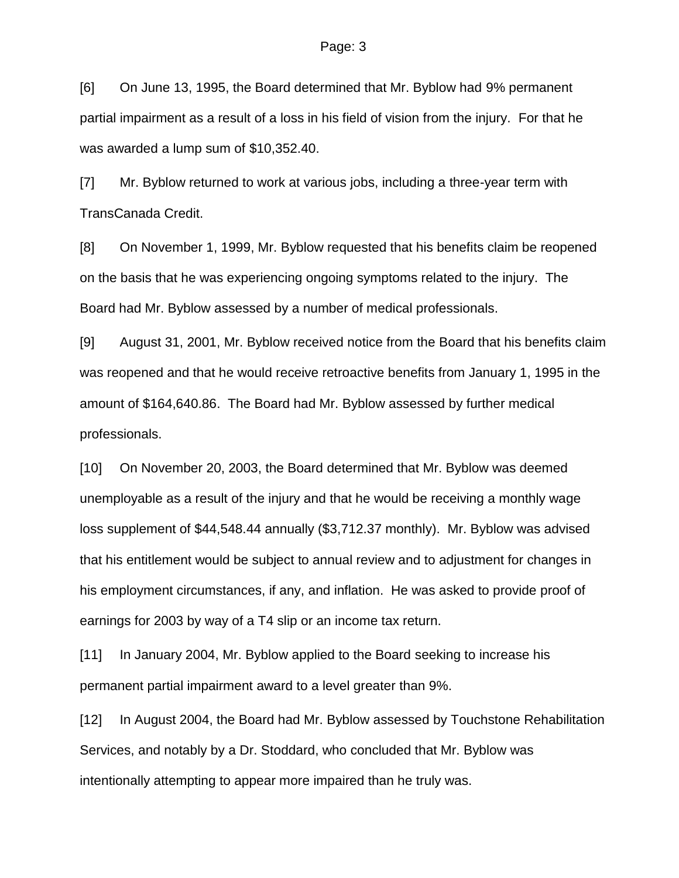[6] On June 13, 1995, the Board determined that Mr. Byblow had 9% permanent partial impairment as a result of a loss in his field of vision from the injury. For that he was awarded a lump sum of \$10,352.40.

[7] Mr. Byblow returned to work at various jobs, including a three-year term with TransCanada Credit.

[8] On November 1, 1999, Mr. Byblow requested that his benefits claim be reopened on the basis that he was experiencing ongoing symptoms related to the injury. The Board had Mr. Byblow assessed by a number of medical professionals.

[9] August 31, 2001, Mr. Byblow received notice from the Board that his benefits claim was reopened and that he would receive retroactive benefits from January 1, 1995 in the amount of \$164,640.86. The Board had Mr. Byblow assessed by further medical professionals.

[10] On November 20, 2003, the Board determined that Mr. Byblow was deemed unemployable as a result of the injury and that he would be receiving a monthly wage loss supplement of \$44,548.44 annually (\$3,712.37 monthly). Mr. Byblow was advised that his entitlement would be subject to annual review and to adjustment for changes in his employment circumstances, if any, and inflation. He was asked to provide proof of earnings for 2003 by way of a T4 slip or an income tax return.

[11] In January 2004, Mr. Byblow applied to the Board seeking to increase his permanent partial impairment award to a level greater than 9%.

[12] In August 2004, the Board had Mr. Byblow assessed by Touchstone Rehabilitation Services, and notably by a Dr. Stoddard, who concluded that Mr. Byblow was intentionally attempting to appear more impaired than he truly was.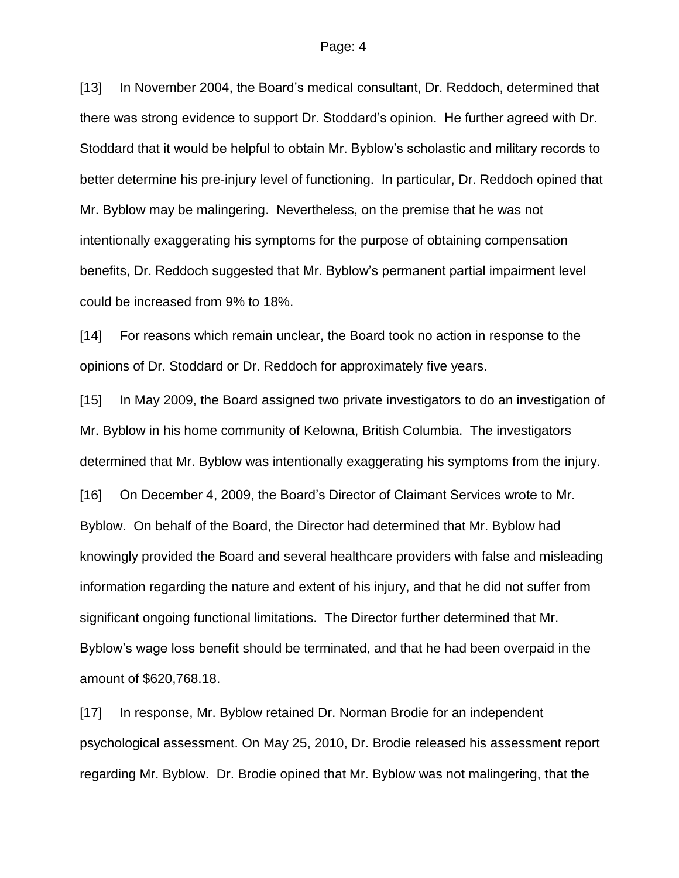[13] In November 2004, the Board's medical consultant, Dr. Reddoch, determined that there was strong evidence to support Dr. Stoddard's opinion. He further agreed with Dr. Stoddard that it would be helpful to obtain Mr. Byblow's scholastic and military records to better determine his pre-injury level of functioning. In particular, Dr. Reddoch opined that Mr. Byblow may be malingering. Nevertheless, on the premise that he was not intentionally exaggerating his symptoms for the purpose of obtaining compensation benefits, Dr. Reddoch suggested that Mr. Byblow's permanent partial impairment level could be increased from 9% to 18%.

[14] For reasons which remain unclear, the Board took no action in response to the opinions of Dr. Stoddard or Dr. Reddoch for approximately five years.

[15] In May 2009, the Board assigned two private investigators to do an investigation of Mr. Byblow in his home community of Kelowna, British Columbia. The investigators determined that Mr. Byblow was intentionally exaggerating his symptoms from the injury.

[16] On December 4, 2009, the Board's Director of Claimant Services wrote to Mr. Byblow. On behalf of the Board, the Director had determined that Mr. Byblow had knowingly provided the Board and several healthcare providers with false and misleading information regarding the nature and extent of his injury, and that he did not suffer from significant ongoing functional limitations. The Director further determined that Mr. Byblow's wage loss benefit should be terminated, and that he had been overpaid in the amount of \$620,768.18.

[17] In response, Mr. Byblow retained Dr. Norman Brodie for an independent psychological assessment. On May 25, 2010, Dr. Brodie released his assessment report regarding Mr. Byblow. Dr. Brodie opined that Mr. Byblow was not malingering, that the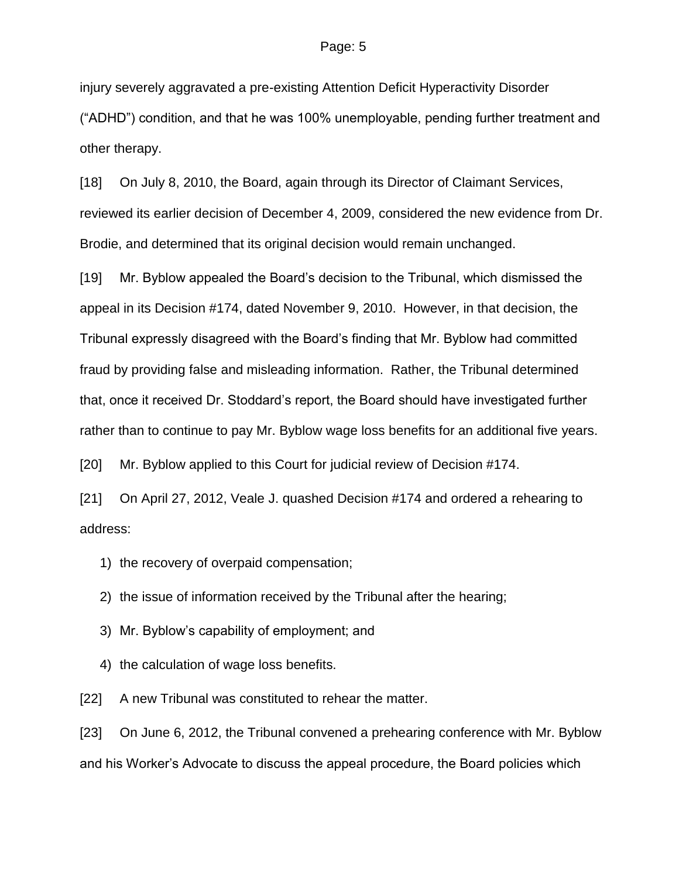injury severely aggravated a pre-existing Attention Deficit Hyperactivity Disorder ("ADHD") condition, and that he was 100% unemployable, pending further treatment and other therapy.

[18] On July 8, 2010, the Board, again through its Director of Claimant Services, reviewed its earlier decision of December 4, 2009, considered the new evidence from Dr. Brodie, and determined that its original decision would remain unchanged.

[19] Mr. Byblow appealed the Board's decision to the Tribunal, which dismissed the appeal in its Decision #174, dated November 9, 2010. However, in that decision, the Tribunal expressly disagreed with the Board's finding that Mr. Byblow had committed fraud by providing false and misleading information. Rather, the Tribunal determined that, once it received Dr. Stoddard's report, the Board should have investigated further rather than to continue to pay Mr. Byblow wage loss benefits for an additional five years.

[20] Mr. Byblow applied to this Court for judicial review of Decision #174.

[21] On April 27, 2012, Veale J. quashed Decision #174 and ordered a rehearing to address:

- 1) the recovery of overpaid compensation;
- 2) the issue of information received by the Tribunal after the hearing;
- 3) Mr. Byblow's capability of employment; and
- 4) the calculation of wage loss benefits.

[22] A new Tribunal was constituted to rehear the matter.

[23] On June 6, 2012, the Tribunal convened a prehearing conference with Mr. Byblow and his Worker's Advocate to discuss the appeal procedure, the Board policies which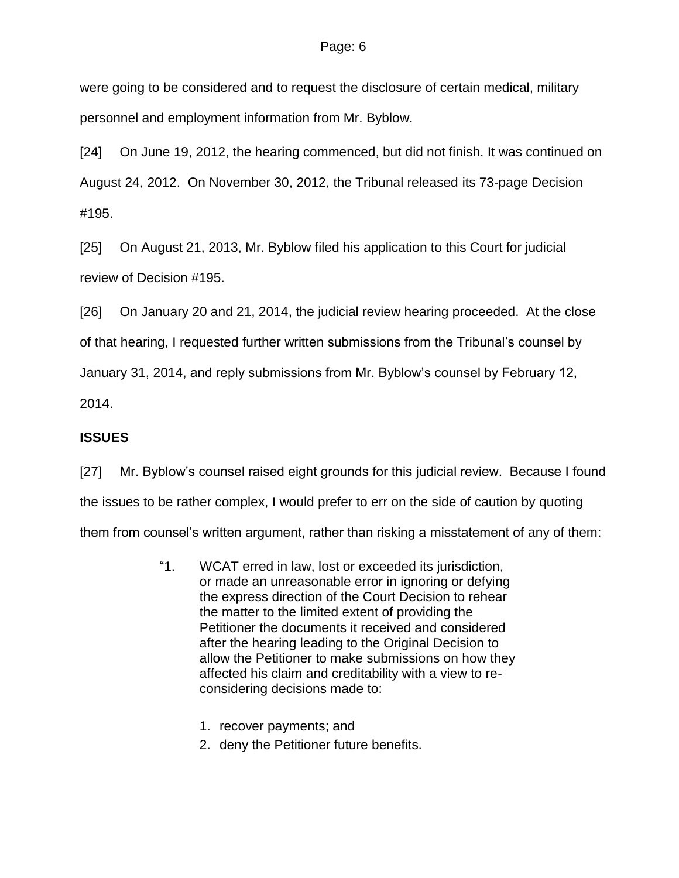were going to be considered and to request the disclosure of certain medical, military personnel and employment information from Mr. Byblow.

[24] On June 19, 2012, the hearing commenced, but did not finish. It was continued on August 24, 2012. On November 30, 2012, the Tribunal released its 73-page Decision #195.

[25] On August 21, 2013, Mr. Byblow filed his application to this Court for judicial review of Decision #195.

[26] On January 20 and 21, 2014, the judicial review hearing proceeded. At the close of that hearing, I requested further written submissions from the Tribunal's counsel by January 31, 2014, and reply submissions from Mr. Byblow's counsel by February 12, 2014.

## **ISSUES**

[27] Mr. Byblow's counsel raised eight grounds for this judicial review. Because I found the issues to be rather complex, I would prefer to err on the side of caution by quoting them from counsel's written argument, rather than risking a misstatement of any of them:

- "1. WCAT erred in law, lost or exceeded its jurisdiction, or made an unreasonable error in ignoring or defying the express direction of the Court Decision to rehear the matter to the limited extent of providing the Petitioner the documents it received and considered after the hearing leading to the Original Decision to allow the Petitioner to make submissions on how they affected his claim and creditability with a view to reconsidering decisions made to:
	- 1. recover payments; and
	- 2. deny the Petitioner future benefits.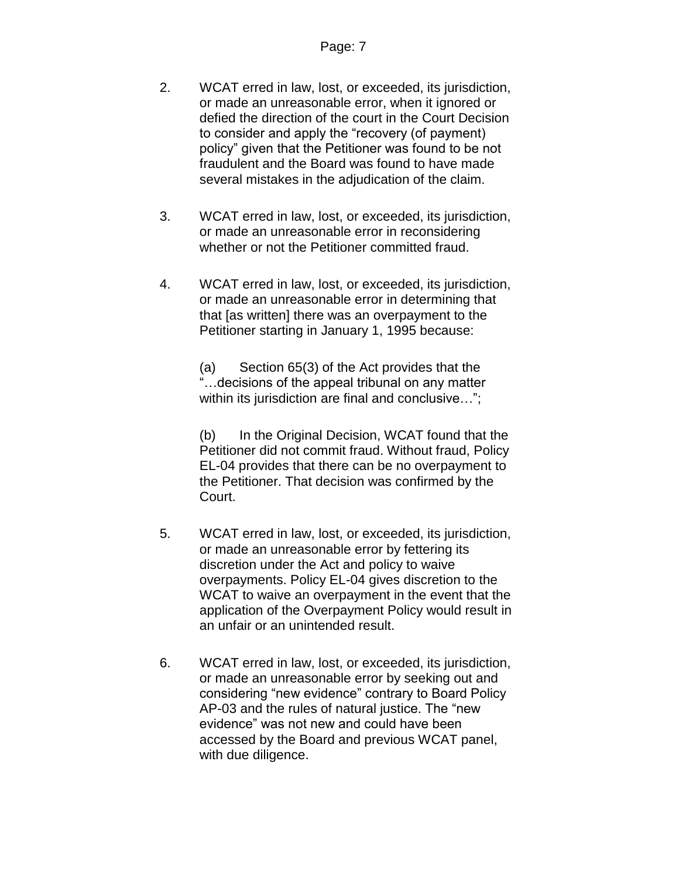- 2. WCAT erred in law, lost, or exceeded, its jurisdiction, or made an unreasonable error, when it ignored or defied the direction of the court in the Court Decision to consider and apply the "recovery (of payment) policy" given that the Petitioner was found to be not fraudulent and the Board was found to have made several mistakes in the adjudication of the claim.
- 3. WCAT erred in law, lost, or exceeded, its jurisdiction, or made an unreasonable error in reconsidering whether or not the Petitioner committed fraud.
- 4. WCAT erred in law, lost, or exceeded, its jurisdiction, or made an unreasonable error in determining that that [as written] there was an overpayment to the Petitioner starting in January 1, 1995 because:

(a) Section 65(3) of the Act provides that the ... decisions of the appeal tribunal on any matter within its jurisdiction are final and conclusive...";

(b) In the Original Decision, WCAT found that the Petitioner did not commit fraud. Without fraud, Policy EL-04 provides that there can be no overpayment to the Petitioner. That decision was confirmed by the Court.

- 5. WCAT erred in law, lost, or exceeded, its jurisdiction, or made an unreasonable error by fettering its discretion under the Act and policy to waive overpayments. Policy EL-04 gives discretion to the WCAT to waive an overpayment in the event that the application of the Overpayment Policy would result in an unfair or an unintended result.
- 6. WCAT erred in law, lost, or exceeded, its jurisdiction, or made an unreasonable error by seeking out and considering "new evidence" contrary to Board Policy AP-03 and the rules of natural justice. The "new evidence" was not new and could have been accessed by the Board and previous WCAT panel, with due diligence.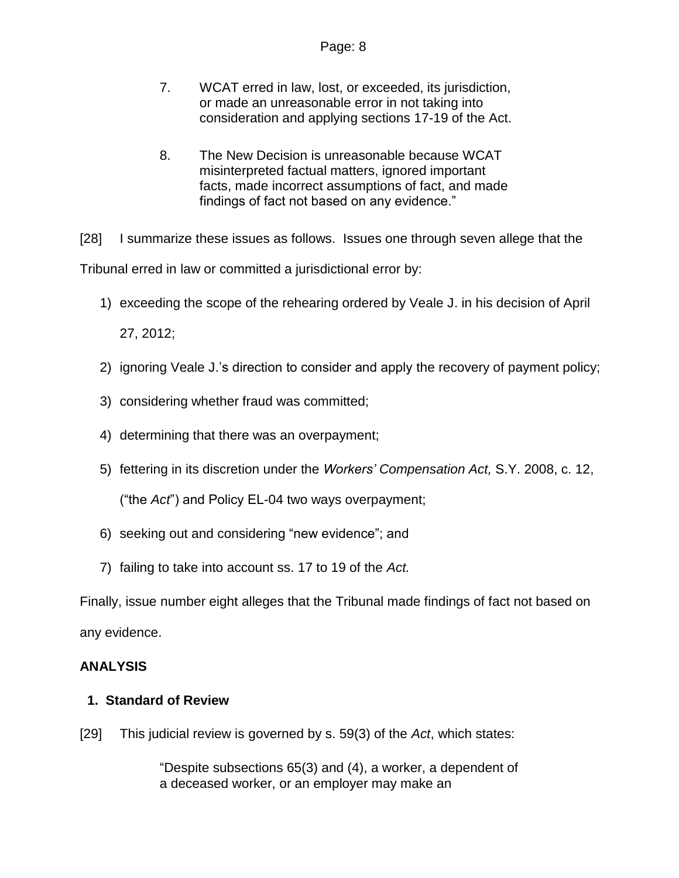- 7. WCAT erred in law, lost, or exceeded, its jurisdiction, or made an unreasonable error in not taking into consideration and applying sections 17-19 of the Act.
- 8. The New Decision is unreasonable because WCAT misinterpreted factual matters, ignored important facts, made incorrect assumptions of fact, and made findings of fact not based on any evidence."

[28] I summarize these issues as follows. Issues one through seven allege that the Tribunal erred in law or committed a jurisdictional error by:

1) exceeding the scope of the rehearing ordered by Veale J. in his decision of April

27, 2012;

- 2) ignoring Veale J.'s direction to consider and apply the recovery of payment policy;
- 3) considering whether fraud was committed;
- 4) determining that there was an overpayment;
- 5) fettering in its discretion under the *Workers' Compensation Act,* S.Y. 2008, c. 12,

("the *Act*") and Policy EL-04 two ways overpayment;

- 6) seeking out and considering "new evidence"; and
- 7) failing to take into account ss. 17 to 19 of the *Act.*

Finally, issue number eight alleges that the Tribunal made findings of fact not based on any evidence.

## **ANALYSIS**

## **1. Standard of Review**

[29] This judicial review is governed by s. 59(3) of the *Act*, which states:

"Despite subsections 65(3) and (4), a worker, a dependent of a deceased worker, or an employer may make an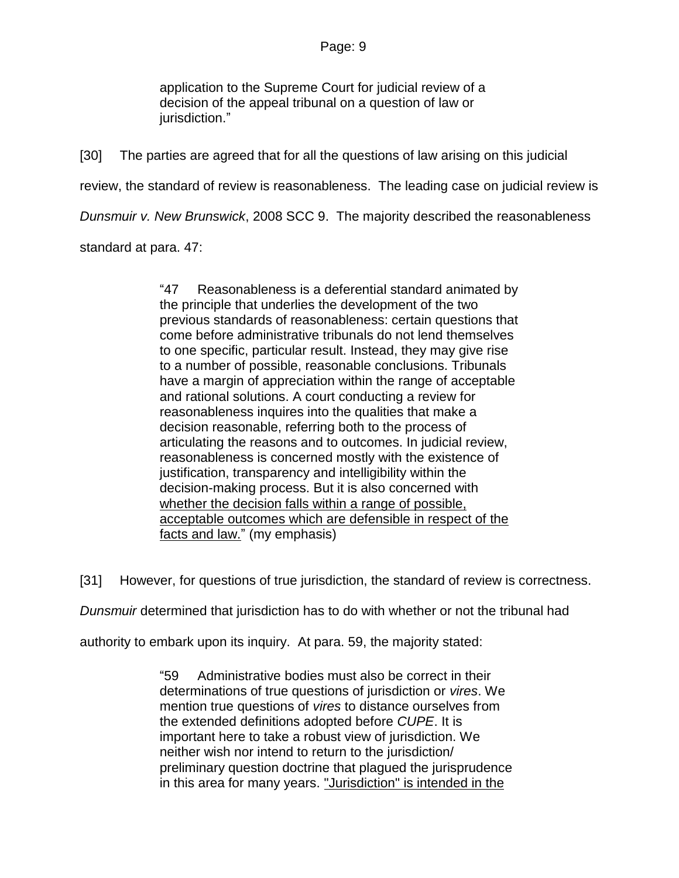application to the Supreme Court for judicial review of a decision of the appeal tribunal on a question of law or jurisdiction."

[30] The parties are agreed that for all the questions of law arising on this judicial review, the standard of review is reasonableness. The leading case on judicial review is *Dunsmuir v. New Brunswick*, 2008 SCC 9. The majority described the reasonableness standard at para. 47:

> "47 Reasonableness is a deferential standard animated by the principle that underlies the development of the two previous standards of reasonableness: certain questions that come before administrative tribunals do not lend themselves to one specific, particular result. Instead, they may give rise to a number of possible, reasonable conclusions. Tribunals have a margin of appreciation within the range of acceptable and rational solutions. A court conducting a review for reasonableness inquires into the qualities that make a decision reasonable, referring both to the process of articulating the reasons and to outcomes. In judicial review, reasonableness is concerned mostly with the existence of justification, transparency and intelligibility within the decision-making process. But it is also concerned with whether the decision falls within a range of possible, acceptable outcomes which are defensible in respect of the facts and law." (my emphasis)

[31] However, for questions of true jurisdiction, the standard of review is correctness.

*Dunsmuir* determined that jurisdiction has to do with whether or not the tribunal had

authority to embark upon its inquiry. At para. 59, the majority stated:

"59 Administrative bodies must also be correct in their determinations of true questions of jurisdiction or *vires*. We mention true questions of *vires* to distance ourselves from the extended definitions adopted before *CUPE*. It is important here to take a robust view of jurisdiction. We neither wish nor intend to return to the jurisdiction/ preliminary question doctrine that plagued the jurisprudence in this area for many years. "Jurisdiction" is intended in the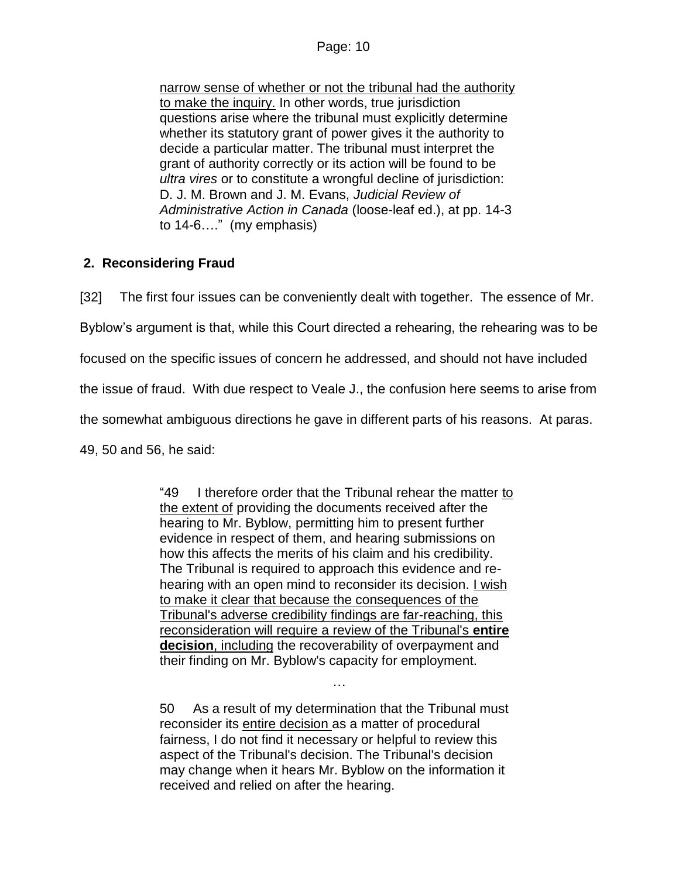narrow sense of whether or not the tribunal had the authority to make the inquiry. In other words, true jurisdiction questions arise where the tribunal must explicitly determine whether its statutory grant of power gives it the authority to decide a particular matter. The tribunal must interpret the grant of authority correctly or its action will be found to be *ultra vires* or to constitute a wrongful decline of jurisdiction: D. J. M. Brown and J. M. Evans, *Judicial Review of Administrative Action in Canada* (loose-leaf ed.), at pp. 14-3 to 14-6…." (my emphasis)

## **2. Reconsidering Fraud**

[32] The first four issues can be conveniently dealt with together. The essence of Mr.

Byblow's argument is that, while this Court directed a rehearing, the rehearing was to be

focused on the specific issues of concern he addressed, and should not have included

the issue of fraud. With due respect to Veale J., the confusion here seems to arise from

the somewhat ambiguous directions he gave in different parts of his reasons. At paras.

49, 50 and 56, he said:

"49 I therefore order that the Tribunal rehear the matter to the extent of providing the documents received after the hearing to Mr. Byblow, permitting him to present further evidence in respect of them, and hearing submissions on how this affects the merits of his claim and his credibility. The Tribunal is required to approach this evidence and rehearing with an open mind to reconsider its decision. I wish to make it clear that because the consequences of the Tribunal's adverse credibility findings are far-reaching, this reconsideration will require a review of the Tribunal's **entire decision**, including the recoverability of overpayment and their finding on Mr. Byblow's capacity for employment.

50 As a result of my determination that the Tribunal must reconsider its entire decision as a matter of procedural fairness, I do not find it necessary or helpful to review this aspect of the Tribunal's decision. The Tribunal's decision may change when it hears Mr. Byblow on the information it received and relied on after the hearing.

…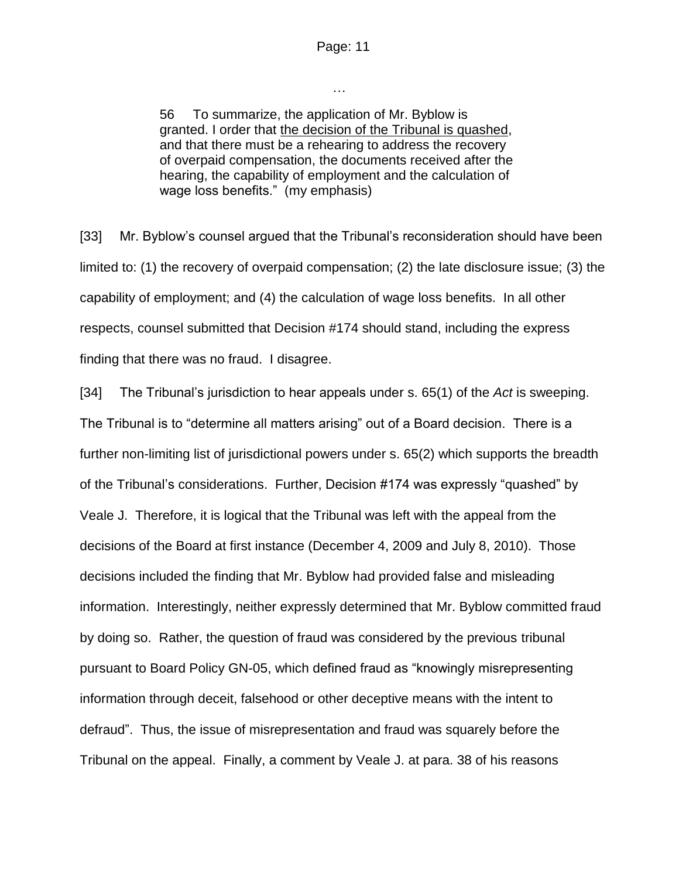…

56 To summarize, the application of Mr. Byblow is granted. I order that the decision of the Tribunal is quashed, and that there must be a rehearing to address the recovery of overpaid compensation, the documents received after the hearing, the capability of employment and the calculation of wage loss benefits." (my emphasis)

[33] Mr. Byblow's counsel argued that the Tribunal's reconsideration should have been limited to: (1) the recovery of overpaid compensation; (2) the late disclosure issue; (3) the capability of employment; and (4) the calculation of wage loss benefits. In all other respects, counsel submitted that Decision #174 should stand, including the express finding that there was no fraud. I disagree.

[34] The Tribunal's jurisdiction to hear appeals under s. 65(1) of the *Act* is sweeping. The Tribunal is to "determine all matters arising" out of a Board decision. There is a further non-limiting list of jurisdictional powers under s. 65(2) which supports the breadth of the Tribunal's considerations. Further, Decision #174 was expressly "quashed" by Veale J. Therefore, it is logical that the Tribunal was left with the appeal from the decisions of the Board at first instance (December 4, 2009 and July 8, 2010). Those decisions included the finding that Mr. Byblow had provided false and misleading information. Interestingly, neither expressly determined that Mr. Byblow committed fraud by doing so. Rather, the question of fraud was considered by the previous tribunal pursuant to Board Policy GN-05, which defined fraud as "knowingly misrepresenting information through deceit, falsehood or other deceptive means with the intent to defraud". Thus, the issue of misrepresentation and fraud was squarely before the Tribunal on the appeal. Finally, a comment by Veale J. at para. 38 of his reasons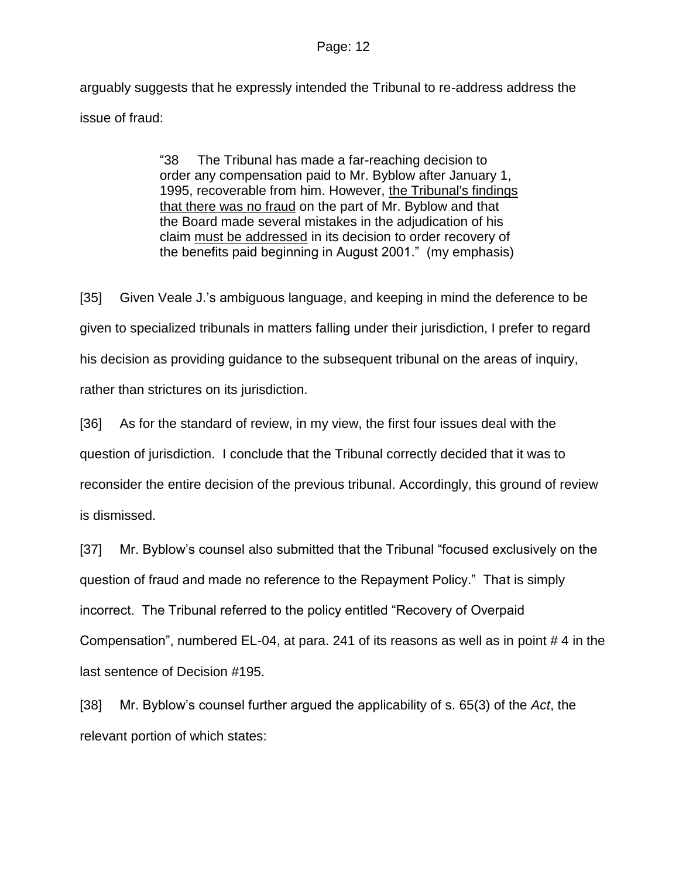arguably suggests that he expressly intended the Tribunal to re-address address the issue of fraud:

> "38 The Tribunal has made a far-reaching decision to order any compensation paid to Mr. Byblow after January 1, 1995, recoverable from him. However, the Tribunal's findings that there was no fraud on the part of Mr. Byblow and that the Board made several mistakes in the adjudication of his claim must be addressed in its decision to order recovery of the benefits paid beginning in August 2001." (my emphasis)

[35] Given Veale J.'s ambiguous language, and keeping in mind the deference to be given to specialized tribunals in matters falling under their jurisdiction, I prefer to regard his decision as providing guidance to the subsequent tribunal on the areas of inquiry, rather than strictures on its jurisdiction.

[36] As for the standard of review, in my view, the first four issues deal with the question of jurisdiction. I conclude that the Tribunal correctly decided that it was to reconsider the entire decision of the previous tribunal. Accordingly, this ground of review is dismissed.

[37] Mr. Byblow's counsel also submitted that the Tribunal "focused exclusively on the question of fraud and made no reference to the Repayment Policy." That is simply incorrect. The Tribunal referred to the policy entitled "Recovery of Overpaid Compensation", numbered EL-04, at para. 241 of its reasons as well as in point # 4 in the last sentence of Decision #195.

[38] Mr. Byblow's counsel further argued the applicability of s. 65(3) of the *Act*, the relevant portion of which states: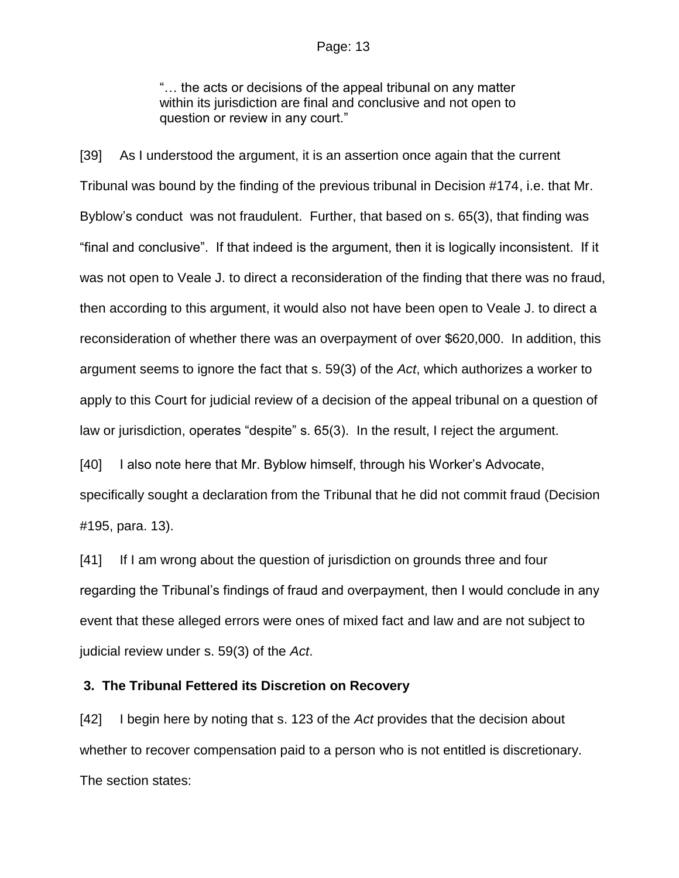"… the acts or decisions of the appeal tribunal on any matter within its jurisdiction are final and conclusive and not open to question or review in any court."

[39] As I understood the argument, it is an assertion once again that the current Tribunal was bound by the finding of the previous tribunal in Decision #174, i.e. that Mr. Byblow's conduct was not fraudulent. Further, that based on s. 65(3), that finding was "final and conclusive". If that indeed is the argument, then it is logically inconsistent. If it was not open to Veale J. to direct a reconsideration of the finding that there was no fraud, then according to this argument, it would also not have been open to Veale J. to direct a reconsideration of whether there was an overpayment of over \$620,000. In addition, this argument seems to ignore the fact that s. 59(3) of the *Act*, which authorizes a worker to apply to this Court for judicial review of a decision of the appeal tribunal on a question of law or jurisdiction, operates "despite" s. 65(3). In the result, I reject the argument.

[40] I also note here that Mr. Byblow himself, through his Worker's Advocate, specifically sought a declaration from the Tribunal that he did not commit fraud (Decision #195, para. 13).

[41] If I am wrong about the question of jurisdiction on grounds three and four regarding the Tribunal's findings of fraud and overpayment, then I would conclude in any event that these alleged errors were ones of mixed fact and law and are not subject to judicial review under s. 59(3) of the *Act*.

#### **3. The Tribunal Fettered its Discretion on Recovery**

[42] I begin here by noting that s. 123 of the *Act* provides that the decision about whether to recover compensation paid to a person who is not entitled is discretionary. The section states: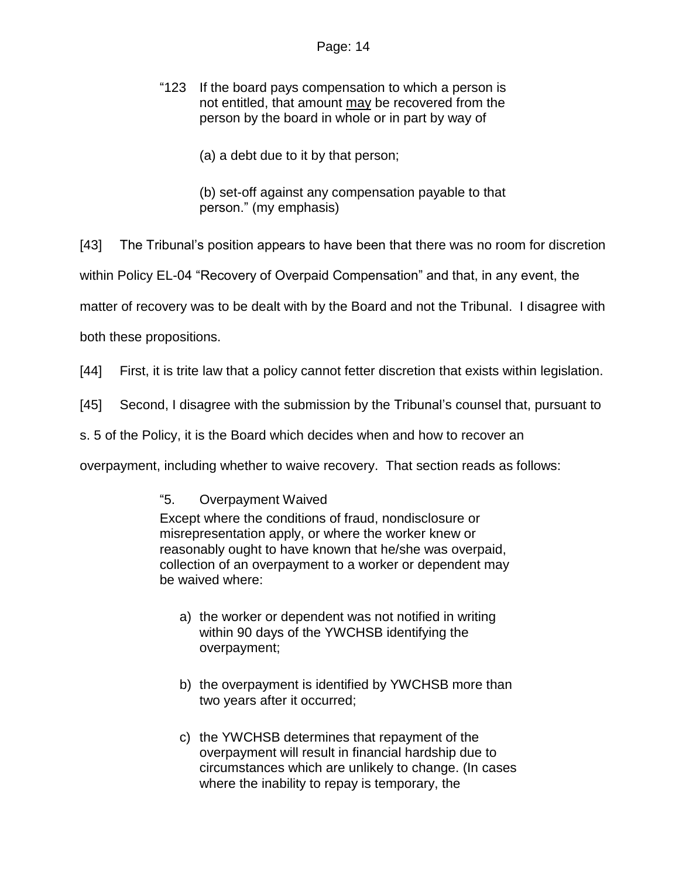- "123 If the board pays compensation to which a person is not entitled, that amount may be recovered from the person by the board in whole or in part by way of
	- (a) a debt due to it by that person;
	- (b) set-off against any compensation payable to that person." (my emphasis)
- [43] The Tribunal's position appears to have been that there was no room for discretion
- within Policy EL-04 "Recovery of Overpaid Compensation" and that, in any event, the
- matter of recovery was to be dealt with by the Board and not the Tribunal. I disagree with
- both these propositions.
- [44] First, it is trite law that a policy cannot fetter discretion that exists within legislation.
- [45] Second, I disagree with the submission by the Tribunal's counsel that, pursuant to
- s. 5 of the Policy, it is the Board which decides when and how to recover an
- overpayment, including whether to waive recovery. That section reads as follows:
	- "5. Overpayment Waived

Except where the conditions of fraud, nondisclosure or misrepresentation apply, or where the worker knew or reasonably ought to have known that he/she was overpaid, collection of an overpayment to a worker or dependent may be waived where:

- a) the worker or dependent was not notified in writing within 90 days of the YWCHSB identifying the overpayment;
- b) the overpayment is identified by YWCHSB more than two years after it occurred;
- c) the YWCHSB determines that repayment of the overpayment will result in financial hardship due to circumstances which are unlikely to change. (In cases where the inability to repay is temporary, the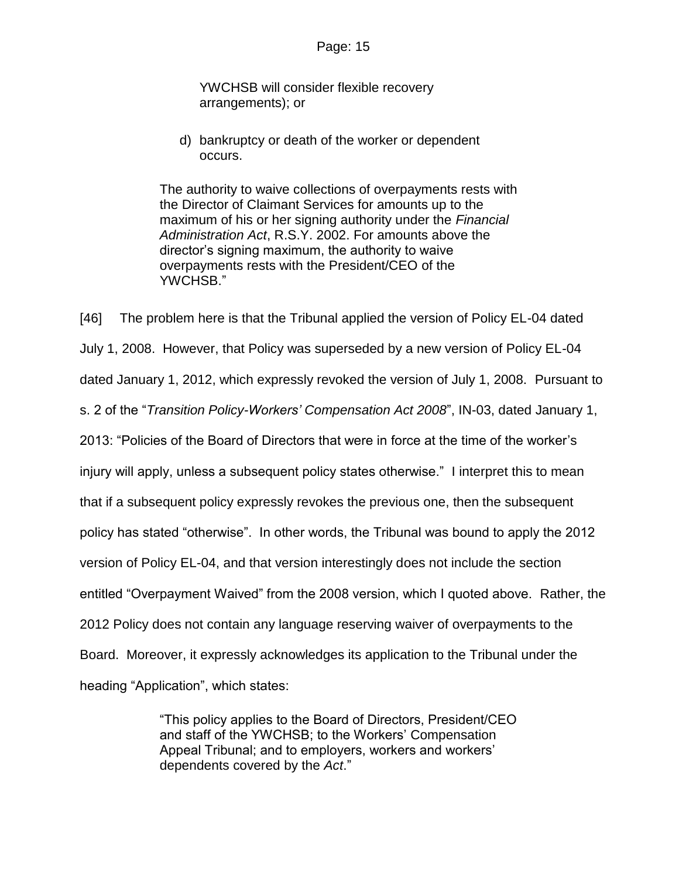YWCHSB will consider flexible recovery arrangements); or

d) bankruptcy or death of the worker or dependent occurs.

The authority to waive collections of overpayments rests with the Director of Claimant Services for amounts up to the maximum of his or her signing authority under the *Financial Administration Act*, R.S.Y. 2002. For amounts above the director's signing maximum, the authority to waive overpayments rests with the President/CEO of the YWCHSB."

[46] The problem here is that the Tribunal applied the version of Policy EL-04 dated July 1, 2008. However, that Policy was superseded by a new version of Policy EL-04 dated January 1, 2012, which expressly revoked the version of July 1, 2008. Pursuant to s. 2 of the "*Transition Policy-Workers' Compensation Act 2008*", IN-03, dated January 1, 2013: "Policies of the Board of Directors that were in force at the time of the worker's injury will apply, unless a subsequent policy states otherwise." I interpret this to mean that if a subsequent policy expressly revokes the previous one, then the subsequent policy has stated "otherwise". In other words, the Tribunal was bound to apply the 2012 version of Policy EL-04, and that version interestingly does not include the section entitled "Overpayment Waived" from the 2008 version, which I quoted above. Rather, the 2012 Policy does not contain any language reserving waiver of overpayments to the Board. Moreover, it expressly acknowledges its application to the Tribunal under the heading "Application", which states:

> "This policy applies to the Board of Directors, President/CEO and staff of the YWCHSB; to the Workers' Compensation Appeal Tribunal; and to employers, workers and workers' dependents covered by the *Act*."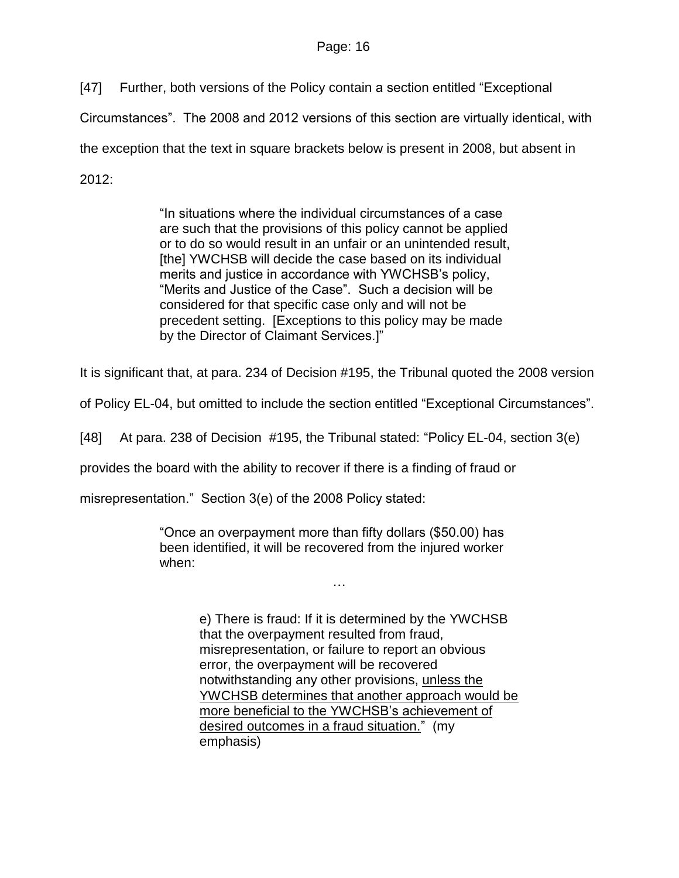[47] Further, both versions of the Policy contain a section entitled "Exceptional

Circumstances". The 2008 and 2012 versions of this section are virtually identical, with

the exception that the text in square brackets below is present in 2008, but absent in

2012:

"In situations where the individual circumstances of a case are such that the provisions of this policy cannot be applied or to do so would result in an unfair or an unintended result, [the] YWCHSB will decide the case based on its individual merits and justice in accordance with YWCHSB's policy, "Merits and Justice of the Case". Such a decision will be considered for that specific case only and will not be precedent setting. [Exceptions to this policy may be made by the Director of Claimant Services.]"

It is significant that, at para. 234 of Decision #195, the Tribunal quoted the 2008 version

of Policy EL-04, but omitted to include the section entitled "Exceptional Circumstances".

[48] At para. 238 of Decision #195, the Tribunal stated: "Policy EL-04, section 3(e)

provides the board with the ability to recover if there is a finding of fraud or

misrepresentation." Section 3(e) of the 2008 Policy stated:

"Once an overpayment more than fifty dollars (\$50.00) has been identified, it will be recovered from the injured worker when:

…

e) There is fraud: If it is determined by the YWCHSB that the overpayment resulted from fraud, misrepresentation, or failure to report an obvious error, the overpayment will be recovered notwithstanding any other provisions, unless the YWCHSB determines that another approach would be more beneficial to the YWCHSB's achievement of desired outcomes in a fraud situation." (my emphasis)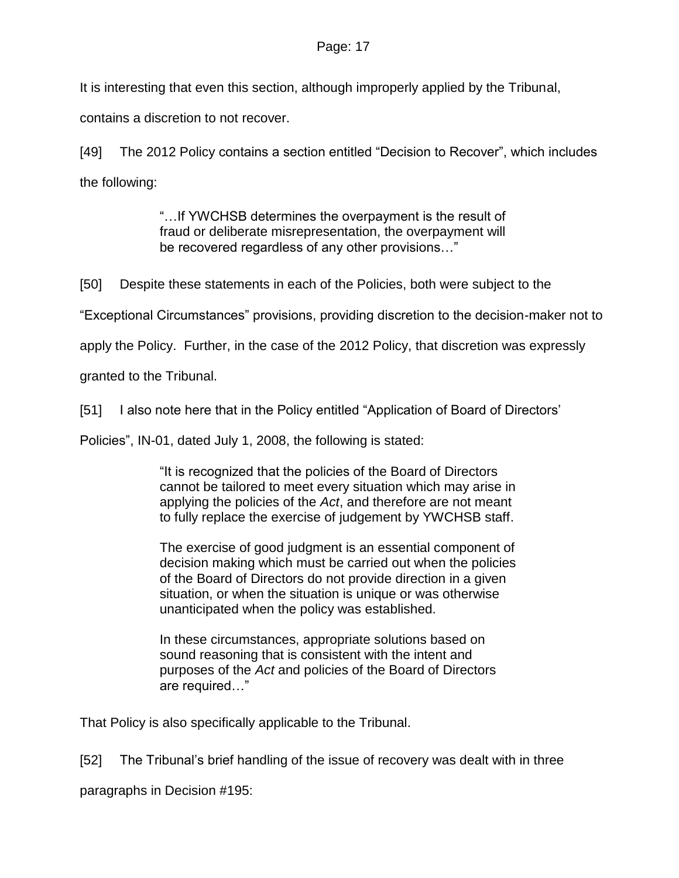It is interesting that even this section, although improperly applied by the Tribunal,

contains a discretion to not recover.

[49] The 2012 Policy contains a section entitled "Decision to Recover", which includes the following:

> "…If YWCHSB determines the overpayment is the result of fraud or deliberate misrepresentation, the overpayment will be recovered regardless of any other provisions…"

[50] Despite these statements in each of the Policies, both were subject to the

"Exceptional Circumstances" provisions, providing discretion to the decision-maker not to

apply the Policy. Further, in the case of the 2012 Policy, that discretion was expressly

granted to the Tribunal.

[51] I also note here that in the Policy entitled "Application of Board of Directors"

Policies", IN-01, dated July 1, 2008, the following is stated:

"It is recognized that the policies of the Board of Directors cannot be tailored to meet every situation which may arise in applying the policies of the *Act*, and therefore are not meant to fully replace the exercise of judgement by YWCHSB staff.

The exercise of good judgment is an essential component of decision making which must be carried out when the policies of the Board of Directors do not provide direction in a given situation, or when the situation is unique or was otherwise unanticipated when the policy was established.

In these circumstances, appropriate solutions based on sound reasoning that is consistent with the intent and purposes of the *Act* and policies of the Board of Directors are required…"

That Policy is also specifically applicable to the Tribunal.

[52] The Tribunal's brief handling of the issue of recovery was dealt with in three

paragraphs in Decision #195: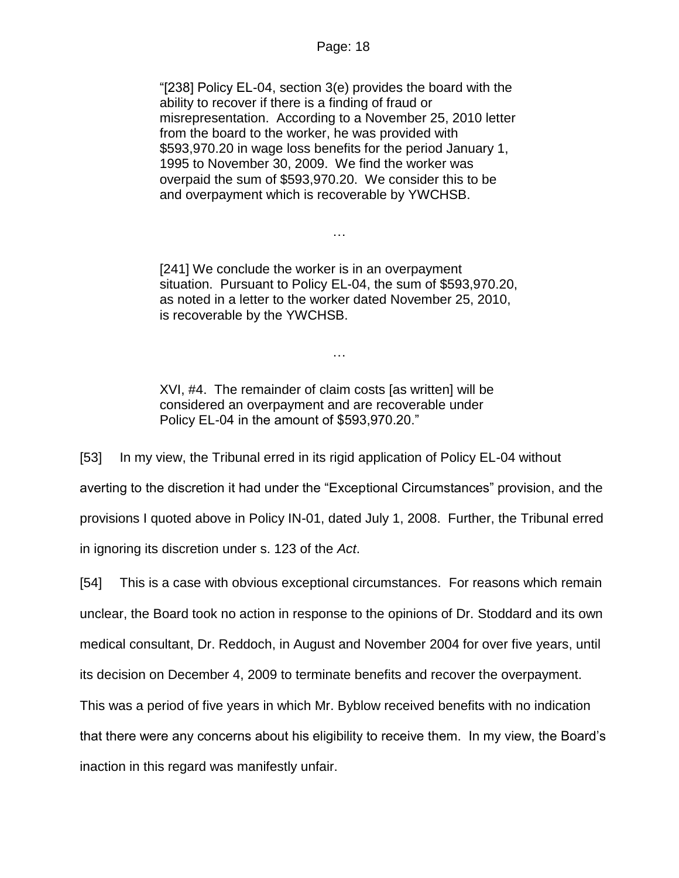"[238] Policy EL-04, section 3(e) provides the board with the ability to recover if there is a finding of fraud or misrepresentation. According to a November 25, 2010 letter from the board to the worker, he was provided with \$593,970.20 in wage loss benefits for the period January 1, 1995 to November 30, 2009. We find the worker was overpaid the sum of \$593,970.20. We consider this to be and overpayment which is recoverable by YWCHSB.

[241] We conclude the worker is in an overpayment situation. Pursuant to Policy EL-04, the sum of \$593,970.20, as noted in a letter to the worker dated November 25, 2010, is recoverable by the YWCHSB.

…

…

XVI, #4. The remainder of claim costs [as written] will be considered an overpayment and are recoverable under Policy EL-04 in the amount of \$593,970.20."

[53] In my view, the Tribunal erred in its rigid application of Policy EL-04 without averting to the discretion it had under the "Exceptional Circumstances" provision, and the provisions I quoted above in Policy IN-01, dated July 1, 2008. Further, the Tribunal erred in ignoring its discretion under s. 123 of the *Act*.

[54] This is a case with obvious exceptional circumstances. For reasons which remain unclear, the Board took no action in response to the opinions of Dr. Stoddard and its own medical consultant, Dr. Reddoch, in August and November 2004 for over five years, until its decision on December 4, 2009 to terminate benefits and recover the overpayment. This was a period of five years in which Mr. Byblow received benefits with no indication that there were any concerns about his eligibility to receive them. In my view, the Board's inaction in this regard was manifestly unfair.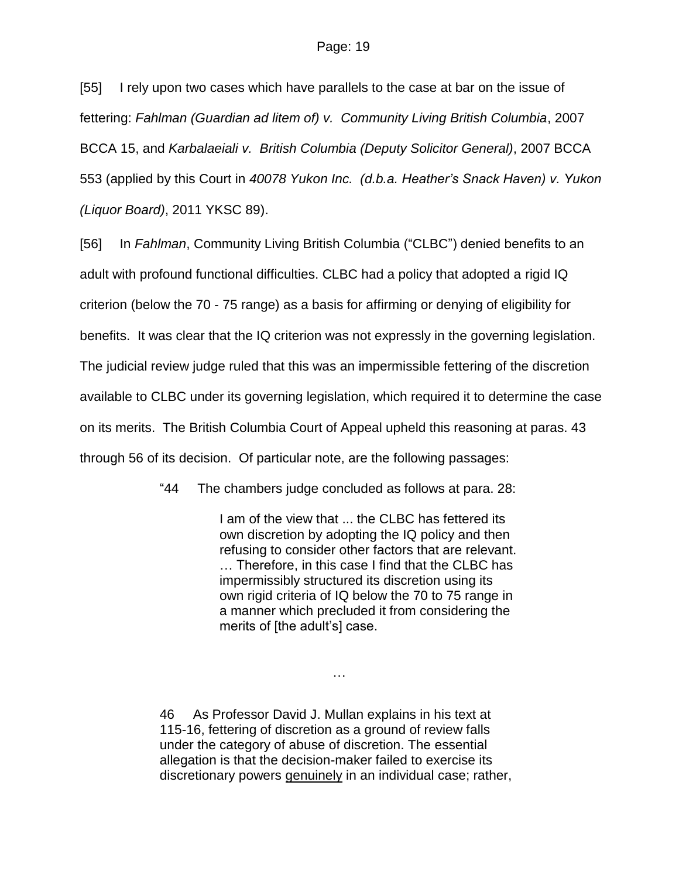[55] I rely upon two cases which have parallels to the case at bar on the issue of fettering: *Fahlman (Guardian ad litem of) v. Community Living British Columbia*, 2007 BCCA 15, and *Karbalaeiali v. British Columbia (Deputy Solicitor General)*, 2007 BCCA 553 (applied by this Court in *40078 Yukon Inc. (d.b.a. Heather's Snack Haven) v. Yukon (Liquor Board)*, 2011 YKSC 89).

[56] In *Fahlman*, Community Living British Columbia ("CLBC") denied benefits to an adult with profound functional difficulties. CLBC had a policy that adopted a rigid IQ criterion (below the 70 - 75 range) as a basis for affirming or denying of eligibility for benefits. It was clear that the IQ criterion was not expressly in the governing legislation. The judicial review judge ruled that this was an impermissible fettering of the discretion available to CLBC under its governing legislation, which required it to determine the case on its merits. The British Columbia Court of Appeal upheld this reasoning at paras. 43 through 56 of its decision. Of particular note, are the following passages:

"44 The chambers judge concluded as follows at para. 28:

I am of the view that ... the CLBC has fettered its own discretion by adopting the IQ policy and then refusing to consider other factors that are relevant. … Therefore, in this case I find that the CLBC has impermissibly structured its discretion using its own rigid criteria of IQ below the 70 to 75 range in a manner which precluded it from considering the merits of [the adult's] case.

46 As Professor David J. Mullan explains in his text at 115-16, fettering of discretion as a ground of review falls under the category of abuse of discretion. The essential allegation is that the decision-maker failed to exercise its discretionary powers genuinely in an individual case; rather,

…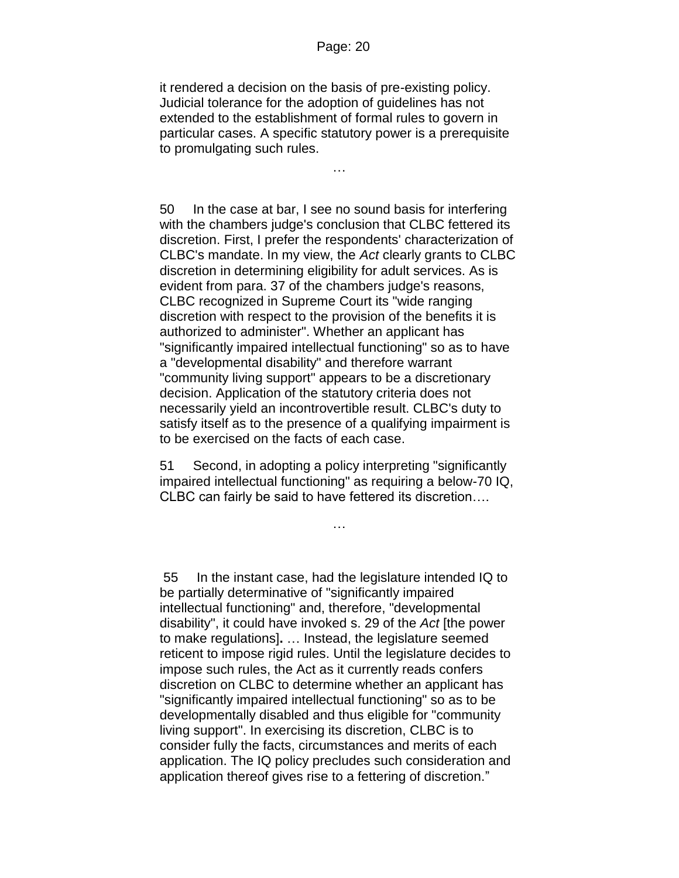it rendered a decision on the basis of pre-existing policy. Judicial tolerance for the adoption of guidelines has not extended to the establishment of formal rules to govern in particular cases. A specific statutory power is a prerequisite to promulgating such rules.

…

50 In the case at bar, I see no sound basis for interfering with the chambers judge's conclusion that CLBC fettered its discretion. First, I prefer the respondents' characterization of CLBC's mandate. In my view, the *Act* clearly grants to CLBC discretion in determining eligibility for adult services. As is evident from para. 37 of the chambers judge's reasons, CLBC recognized in Supreme Court its "wide ranging discretion with respect to the provision of the benefits it is authorized to administer". Whether an applicant has "significantly impaired intellectual functioning" so as to have a "developmental disability" and therefore warrant "community living support" appears to be a discretionary decision. Application of the statutory criteria does not necessarily yield an incontrovertible result. CLBC's duty to satisfy itself as to the presence of a qualifying impairment is to be exercised on the facts of each case.

51 Second, in adopting a policy interpreting "significantly impaired intellectual functioning" as requiring a below-70 IQ, CLBC can fairly be said to have fettered its discretion….

…

55 In the instant case, had the legislature intended IQ to be partially determinative of "significantly impaired intellectual functioning" and, therefore, "developmental disability", it could have invoked s. 29 of the *Act* [the power to make regulations]**.** … Instead, the legislature seemed reticent to impose rigid rules. Until the legislature decides to impose such rules, the Act as it currently reads confers discretion on CLBC to determine whether an applicant has "significantly impaired intellectual functioning" so as to be developmentally disabled and thus eligible for "community living support". In exercising its discretion, CLBC is to consider fully the facts, circumstances and merits of each application. The IQ policy precludes such consideration and application thereof gives rise to a fettering of discretion."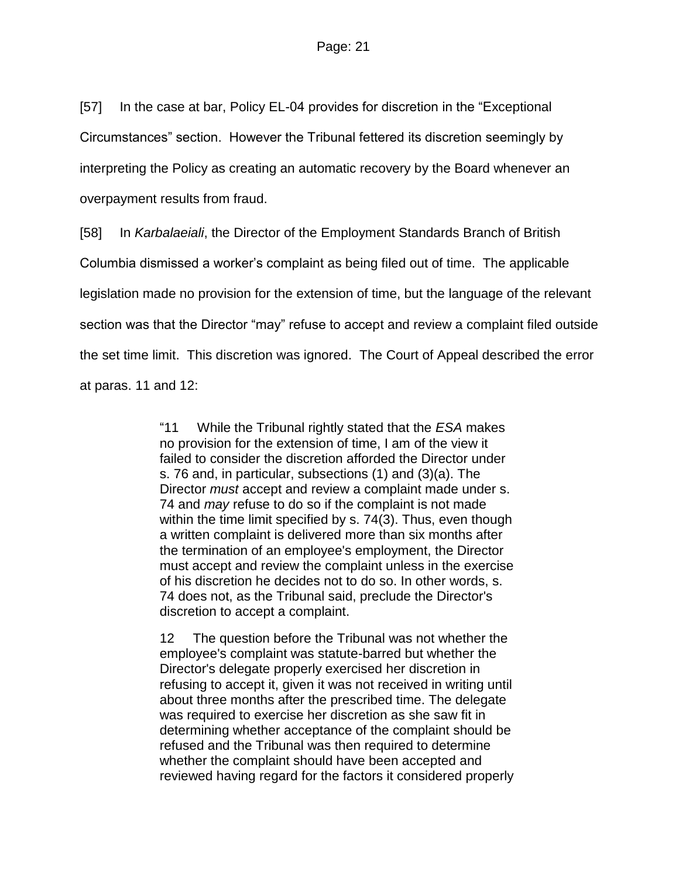[57] In the case at bar, Policy EL-04 provides for discretion in the "Exceptional Circumstances" section. However the Tribunal fettered its discretion seemingly by interpreting the Policy as creating an automatic recovery by the Board whenever an overpayment results from fraud.

[58] In *Karbalaeiali*, the Director of the Employment Standards Branch of British Columbia dismissed a worker's complaint as being filed out of time. The applicable legislation made no provision for the extension of time, but the language of the relevant section was that the Director "may" refuse to accept and review a complaint filed outside the set time limit. This discretion was ignored. The Court of Appeal described the error at paras. 11 and 12:

> "11 While the Tribunal rightly stated that the *ESA* makes no provision for the extension of time, I am of the view it failed to consider the discretion afforded the Director under s. 76 and, in particular, subsections (1) and (3)(a). The Director *must* accept and review a complaint made under s. 74 and *may* refuse to do so if the complaint is not made within the time limit specified by s. 74(3). Thus, even though a written complaint is delivered more than six months after the termination of an employee's employment, the Director must accept and review the complaint unless in the exercise of his discretion he decides not to do so. In other words, s. 74 does not, as the Tribunal said, preclude the Director's discretion to accept a complaint.

> 12 The question before the Tribunal was not whether the employee's complaint was statute-barred but whether the Director's delegate properly exercised her discretion in refusing to accept it, given it was not received in writing until about three months after the prescribed time. The delegate was required to exercise her discretion as she saw fit in determining whether acceptance of the complaint should be refused and the Tribunal was then required to determine whether the complaint should have been accepted and reviewed having regard for the factors it considered properly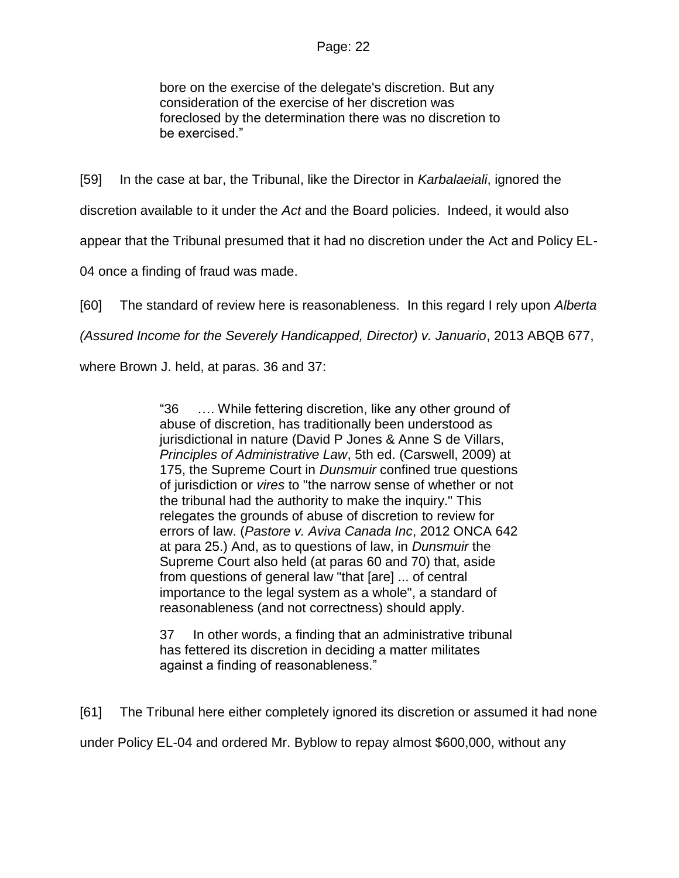bore on the exercise of the delegate's discretion. But any consideration of the exercise of her discretion was foreclosed by the determination there was no discretion to be exercised."

[59] In the case at bar, the Tribunal, like the Director in *Karbalaeiali*, ignored the

discretion available to it under the *Act* and the Board policies. Indeed, it would also

appear that the Tribunal presumed that it had no discretion under the Act and Policy EL-

04 once a finding of fraud was made.

[60] The standard of review here is reasonableness. In this regard I rely upon *Alberta*

*(Assured Income for the Severely Handicapped, Director) v. Januario*, 2013 ABQB 677,

where Brown J. held, at paras. 36 and 37:

"36 …. While fettering discretion, like any other ground of abuse of discretion, has traditionally been understood as jurisdictional in nature (David P Jones & Anne S de Villars, *Principles of Administrative Law*, 5th ed. (Carswell, 2009) at 175, the Supreme Court in *Dunsmuir* confined true questions of jurisdiction or *vires* to "the narrow sense of whether or not the tribunal had the authority to make the inquiry." This relegates the grounds of abuse of discretion to review for errors of law. (*Pastore v. Aviva Canada Inc*, [2012 ONCA 642](http://www.lexisnexis.com/ca/legal/search/runRemoteLink.do?A=0.29397355696322713&bct=A&service=citation&risb=21_T20150367838&langcountry=CA&linkInfo=F%23CA%23ONCA%23sel1%252012%25year%252012%25decisiondate%252012%25onum%25642%25) at para 25.) And, as to questions of law, in *Dunsmuir* the Supreme Court also held (at paras 60 and 70) that, aside from questions of general law "that [are] ... of central importance to the legal system as a whole", a standard of reasonableness (and not correctness) should apply.

37 In other words, a finding that an administrative tribunal has fettered its discretion in deciding a matter militates against a finding of reasonableness."

[61] The Tribunal here either completely ignored its discretion or assumed it had none under Policy EL-04 and ordered Mr. Byblow to repay almost \$600,000, without any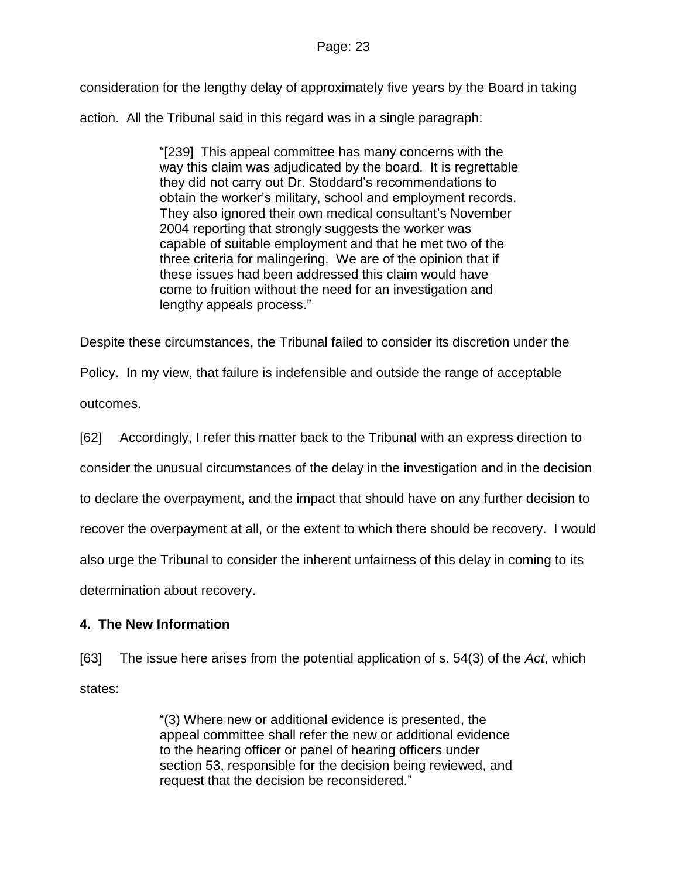consideration for the lengthy delay of approximately five years by the Board in taking

action. All the Tribunal said in this regard was in a single paragraph:

"[239] This appeal committee has many concerns with the way this claim was adjudicated by the board. It is regrettable they did not carry out Dr. Stoddard's recommendations to obtain the worker's military, school and employment records. They also ignored their own medical consultant's November 2004 reporting that strongly suggests the worker was capable of suitable employment and that he met two of the three criteria for malingering. We are of the opinion that if these issues had been addressed this claim would have come to fruition without the need for an investigation and lengthy appeals process."

Despite these circumstances, the Tribunal failed to consider its discretion under the

Policy. In my view, that failure is indefensible and outside the range of acceptable

outcomes.

[62] Accordingly, I refer this matter back to the Tribunal with an express direction to

consider the unusual circumstances of the delay in the investigation and in the decision

to declare the overpayment, and the impact that should have on any further decision to

recover the overpayment at all, or the extent to which there should be recovery. I would

also urge the Tribunal to consider the inherent unfairness of this delay in coming to its

determination about recovery.

## **4. The New Information**

[63] The issue here arises from the potential application of s. 54(3) of the *Act*, which states:

> "(3) Where new or additional evidence is presented, the appeal committee shall refer the new or additional evidence to the hearing officer or panel of hearing officers under section 53, responsible for the decision being reviewed, and request that the decision be reconsidered."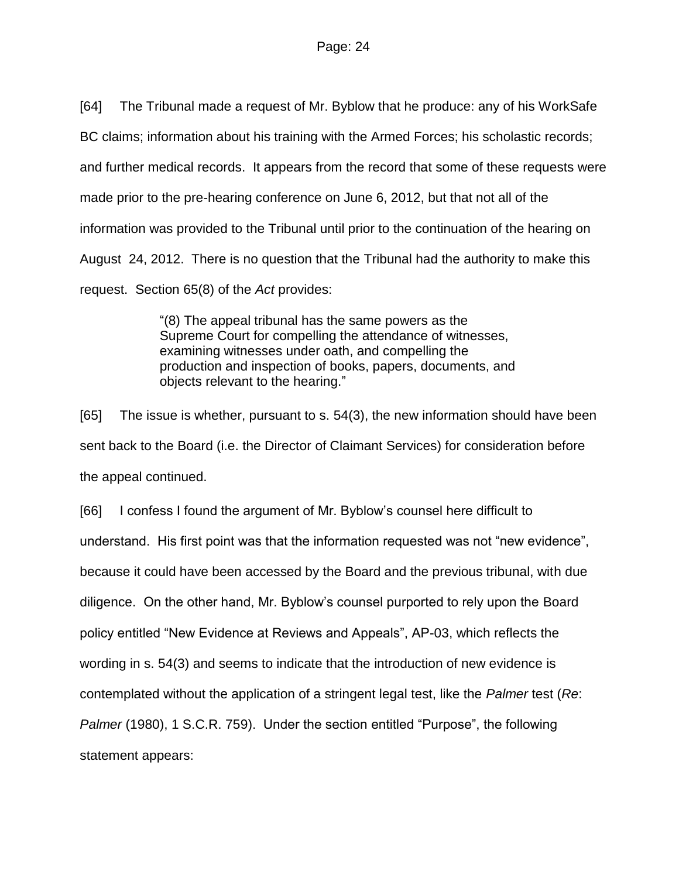[64] The Tribunal made a request of Mr. Byblow that he produce: any of his WorkSafe

BC claims; information about his training with the Armed Forces; his scholastic records;

and further medical records. It appears from the record that some of these requests were

made prior to the pre-hearing conference on June 6, 2012, but that not all of the

information was provided to the Tribunal until prior to the continuation of the hearing on

August 24, 2012. There is no question that the Tribunal had the authority to make this

request. Section 65(8) of the *Act* provides:

"(8) The appeal tribunal has the same powers as the Supreme Court for compelling the attendance of witnesses, examining witnesses under oath, and compelling the production and inspection of books, papers, documents, and objects relevant to the hearing."

[65] The issue is whether, pursuant to s. 54(3), the new information should have been sent back to the Board (i.e. the Director of Claimant Services) for consideration before the appeal continued.

[66] I confess I found the argument of Mr. Byblow's counsel here difficult to understand. His first point was that the information requested was not "new evidence", because it could have been accessed by the Board and the previous tribunal, with due diligence. On the other hand, Mr. Byblow's counsel purported to rely upon the Board policy entitled "New Evidence at Reviews and Appeals", AP-03, which reflects the wording in s. 54(3) and seems to indicate that the introduction of new evidence is contemplated without the application of a stringent legal test, like the *Palmer* test (*Re*: *Palmer* (1980), 1 S.C.R. 759). Under the section entitled "Purpose", the following statement appears: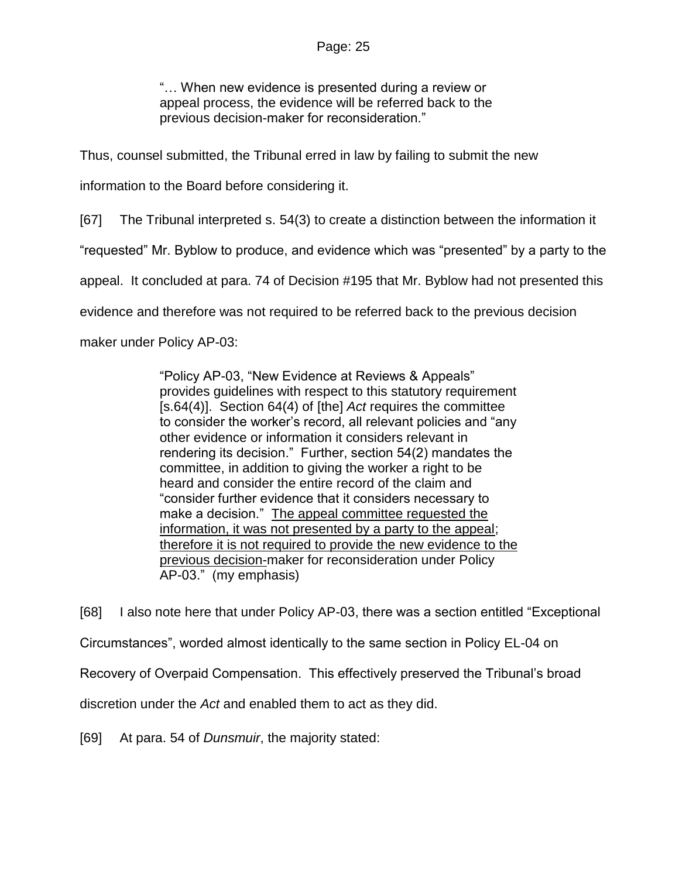"… When new evidence is presented during a review or appeal process, the evidence will be referred back to the previous decision-maker for reconsideration."

Thus, counsel submitted, the Tribunal erred in law by failing to submit the new

information to the Board before considering it.

[67] The Tribunal interpreted s. 54(3) to create a distinction between the information it

"requested" Mr. Byblow to produce, and evidence which was "presented" by a party to the

appeal. It concluded at para. 74 of Decision #195 that Mr. Byblow had not presented this

evidence and therefore was not required to be referred back to the previous decision

maker under Policy AP-03:

"Policy AP-03, "New Evidence at Reviews & Appeals" provides guidelines with respect to this statutory requirement [s.64(4)]. Section 64(4) of [the] *Act* requires the committee to consider the worker's record, all relevant policies and "any other evidence or information it considers relevant in rendering its decision." Further, section 54(2) mandates the committee, in addition to giving the worker a right to be heard and consider the entire record of the claim and "consider further evidence that it considers necessary to make a decision." The appeal committee requested the information, it was not presented by a party to the appeal; therefore it is not required to provide the new evidence to the previous decision-maker for reconsideration under Policy AP-03." (my emphasis)

[68] I also note here that under Policy AP-03, there was a section entitled "Exceptional Circumstances", worded almost identically to the same section in Policy EL-04 on Recovery of Overpaid Compensation. This effectively preserved the Tribunal's broad discretion under the *Act* and enabled them to act as they did.

[69] At para. 54 of *Dunsmuir*, the majority stated: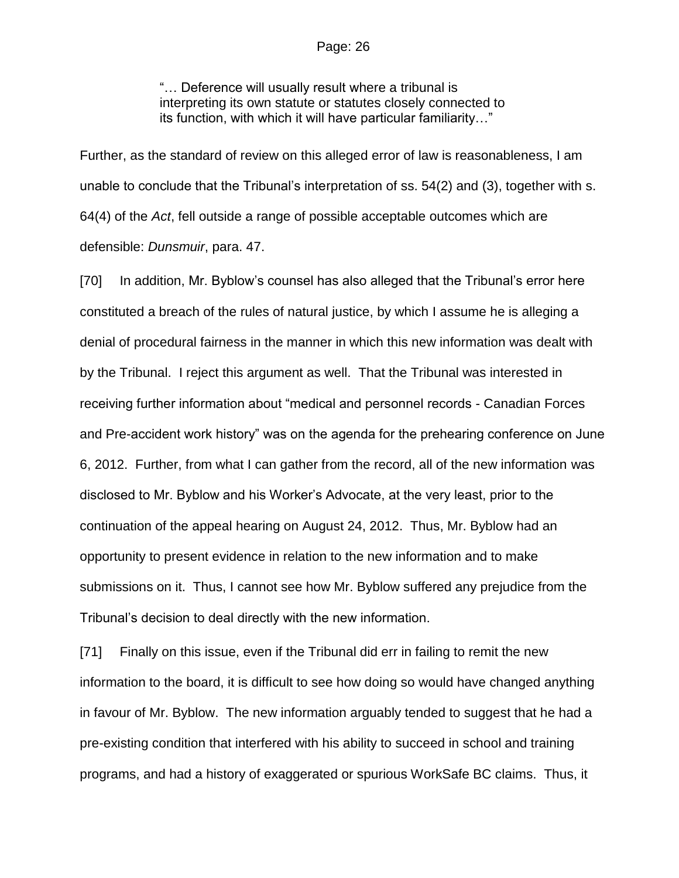"… Deference will usually result where a tribunal is interpreting its own statute or statutes closely connected to its function, with which it will have particular familiarity…"

Further, as the standard of review on this alleged error of law is reasonableness, I am unable to conclude that the Tribunal's interpretation of ss. 54(2) and (3), together with s. 64(4) of the *Act*, fell outside a range of possible acceptable outcomes which are defensible: *Dunsmuir*, para. 47.

[70] In addition, Mr. Byblow's counsel has also alleged that the Tribunal's error here constituted a breach of the rules of natural justice, by which I assume he is alleging a denial of procedural fairness in the manner in which this new information was dealt with by the Tribunal. I reject this argument as well. That the Tribunal was interested in receiving further information about "medical and personnel records - Canadian Forces and Pre-accident work history" was on the agenda for the prehearing conference on June 6, 2012. Further, from what I can gather from the record, all of the new information was disclosed to Mr. Byblow and his Worker's Advocate, at the very least, prior to the continuation of the appeal hearing on August 24, 2012. Thus, Mr. Byblow had an opportunity to present evidence in relation to the new information and to make submissions on it. Thus, I cannot see how Mr. Byblow suffered any prejudice from the Tribunal's decision to deal directly with the new information.

[71] Finally on this issue, even if the Tribunal did err in failing to remit the new information to the board, it is difficult to see how doing so would have changed anything in favour of Mr. Byblow. The new information arguably tended to suggest that he had a pre-existing condition that interfered with his ability to succeed in school and training programs, and had a history of exaggerated or spurious WorkSafe BC claims. Thus, it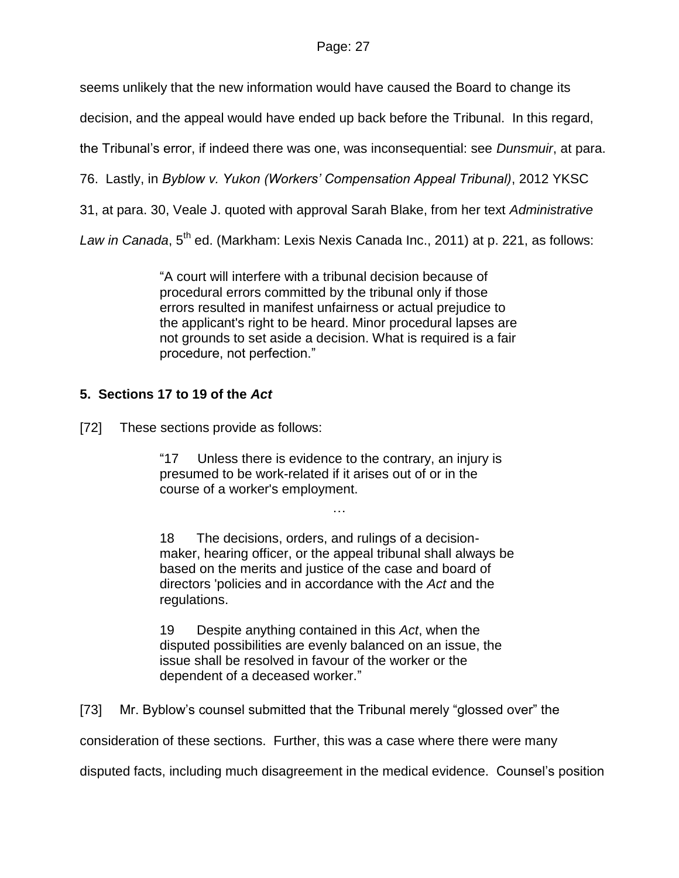seems unlikely that the new information would have caused the Board to change its

decision, and the appeal would have ended up back before the Tribunal. In this regard,

the Tribunal's error, if indeed there was one, was inconsequential: see *Dunsmuir*, at para.

76. Lastly, in *Byblow v. Yukon (Workers' Compensation Appeal Tribunal)*, 2012 YKSC

31, at para. 30, Veale J. quoted with approval Sarah Blake, from her text *Administrative* 

Law in Canada, 5<sup>th</sup> ed. (Markham: Lexis Nexis Canada Inc., 2011) at p. 221, as follows:

"A court will interfere with a tribunal decision because of procedural errors committed by the tribunal only if those errors resulted in manifest unfairness or actual prejudice to the applicant's right to be heard. Minor procedural lapses are not grounds to set aside a decision. What is required is a fair procedure, not perfection."

# **5. Sections 17 to 19 of the** *Act*

[72] These sections provide as follows:

"17 Unless there is evidence to the contrary, an injury is presumed to be work-related if it arises out of or in the course of a worker's employment.

18 The decisions, orders, and rulings of a decisionmaker, hearing officer, or the appeal tribunal shall always be based on the merits and justice of the case and board of directors 'policies and in accordance with the *Act* and the regulations.

…

19 Despite anything contained in this *Act*, when the disputed possibilities are evenly balanced on an issue, the issue shall be resolved in favour of the worker or the dependent of a deceased worker."

[73] Mr. Byblow's counsel submitted that the Tribunal merely "glossed over" the

consideration of these sections. Further, this was a case where there were many

disputed facts, including much disagreement in the medical evidence. Counsel's position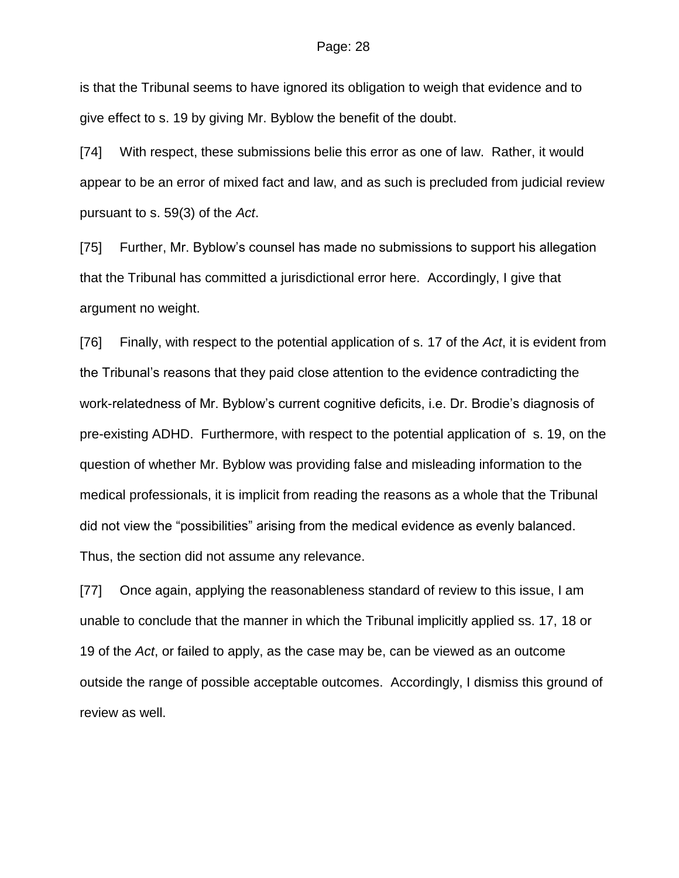is that the Tribunal seems to have ignored its obligation to weigh that evidence and to give effect to s. 19 by giving Mr. Byblow the benefit of the doubt.

[74] With respect, these submissions belie this error as one of law. Rather, it would appear to be an error of mixed fact and law, and as such is precluded from judicial review pursuant to s. 59(3) of the *Act*.

[75] Further, Mr. Byblow's counsel has made no submissions to support his allegation that the Tribunal has committed a jurisdictional error here. Accordingly, I give that argument no weight.

[76] Finally, with respect to the potential application of s. 17 of the *Act*, it is evident from the Tribunal's reasons that they paid close attention to the evidence contradicting the work-relatedness of Mr. Byblow's current cognitive deficits, i.e. Dr. Brodie's diagnosis of pre-existing ADHD. Furthermore, with respect to the potential application of s. 19, on the question of whether Mr. Byblow was providing false and misleading information to the medical professionals, it is implicit from reading the reasons as a whole that the Tribunal did not view the "possibilities" arising from the medical evidence as evenly balanced. Thus, the section did not assume any relevance.

[77] Once again, applying the reasonableness standard of review to this issue, I am unable to conclude that the manner in which the Tribunal implicitly applied ss. 17, 18 or 19 of the *Act*, or failed to apply, as the case may be, can be viewed as an outcome outside the range of possible acceptable outcomes. Accordingly, I dismiss this ground of review as well.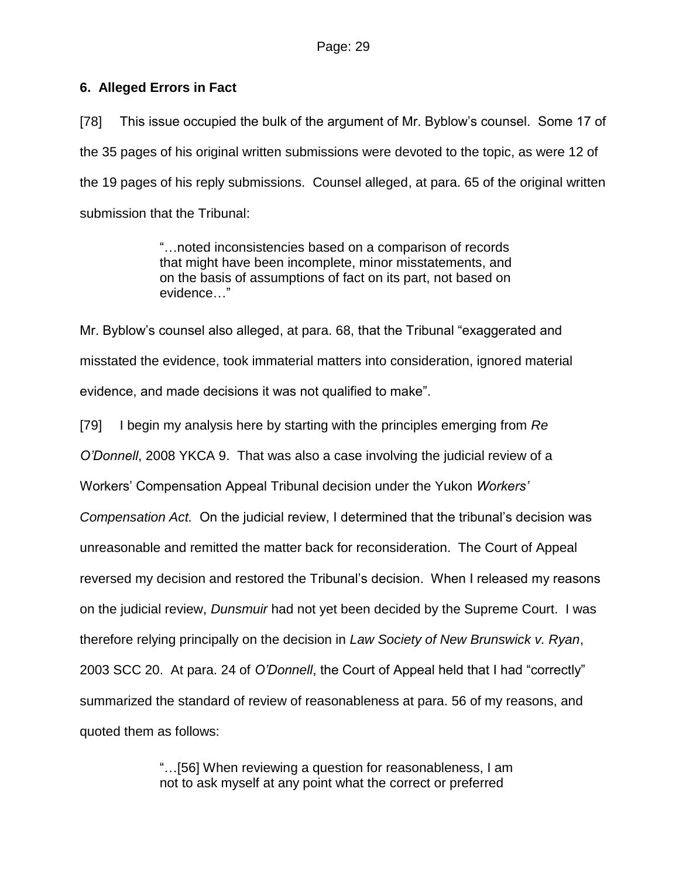### **6. Alleged Errors in Fact**

[78] This issue occupied the bulk of the argument of Mr. Byblow's counsel. Some 17 of the 35 pages of his original written submissions were devoted to the topic, as were 12 of the 19 pages of his reply submissions. Counsel alleged, at para. 65 of the original written submission that the Tribunal:

> "…noted inconsistencies based on a comparison of records that might have been incomplete, minor misstatements, and on the basis of assumptions of fact on its part, not based on evidence…"

Mr. Byblow's counsel also alleged, at para. 68, that the Tribunal "exaggerated and misstated the evidence, took immaterial matters into consideration, ignored material evidence, and made decisions it was not qualified to make".

[79] I begin my analysis here by starting with the principles emerging from *Re O'Donnell*, 2008 YKCA 9. That was also a case involving the judicial review of a Workers' Compensation Appeal Tribunal decision under the Yukon *Workers' Compensation Act.* On the judicial review, I determined that the tribunal's decision was unreasonable and remitted the matter back for reconsideration. The Court of Appeal reversed my decision and restored the Tribunal's decision. When I released my reasons on the judicial review, *Dunsmuir* had not yet been decided by the Supreme Court. I was therefore relying principally on the decision in *Law Society of New Brunswick v. Ryan*, 2003 SCC 20. At para. 24 of *O'Donnell*, the Court of Appeal held that I had "correctly" summarized the standard of review of reasonableness at para. 56 of my reasons, and quoted them as follows:

> "…[56] When reviewing a question for reasonableness, I am not to ask myself at any point what the correct or preferred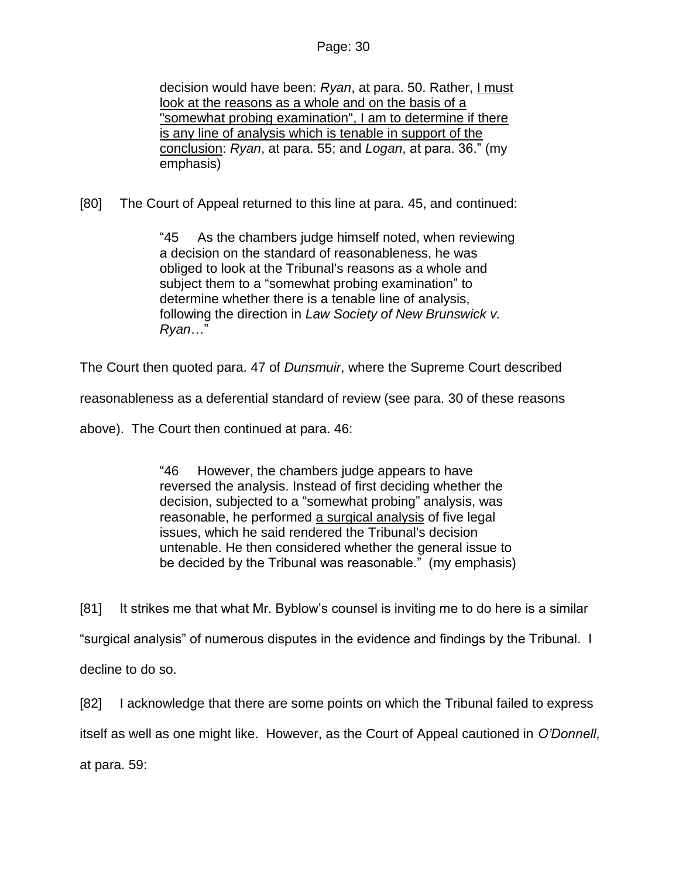decision would have been: Ryan, at para. 50. Rather, I must look at the reasons as a whole and on the basis of a "somewhat probing examination", I am to determine if there is any line of analysis which is tenable in support of the conclusion: *Ryan*, at para. 55; and *Logan*, at para. 36." (my emphasis)

[80] The Court of Appeal returned to this line at para. 45, and continued:

"45 As the chambers judge himself noted, when reviewing a decision on the standard of reasonableness, he was obliged to look at the Tribunal's reasons as a whole and subject them to a "somewhat probing examination" to determine whether there is a tenable line of analysis, following the direction in *Law Society of New Brunswick v. Ryan*…"

The Court then quoted para. 47 of *Dunsmuir*, where the Supreme Court described

reasonableness as a deferential standard of review (see para. 30 of these reasons

above). The Court then continued at para. 46:

"46 However, the chambers judge appears to have reversed the analysis. Instead of first deciding whether the decision, subjected to a "somewhat probing" analysis, was reasonable, he performed a surgical analysis of five legal issues, which he said rendered the Tribunal's decision untenable. He then considered whether the general issue to be decided by the Tribunal was reasonable." (my emphasis)

[81] It strikes me that what Mr. Byblow's counsel is inviting me to do here is a similar "surgical analysis" of numerous disputes in the evidence and findings by the Tribunal. I decline to do so.

[82] I acknowledge that there are some points on which the Tribunal failed to express itself as well as one might like. However, as the Court of Appeal cautioned in *O'Donnell*, at para. 59: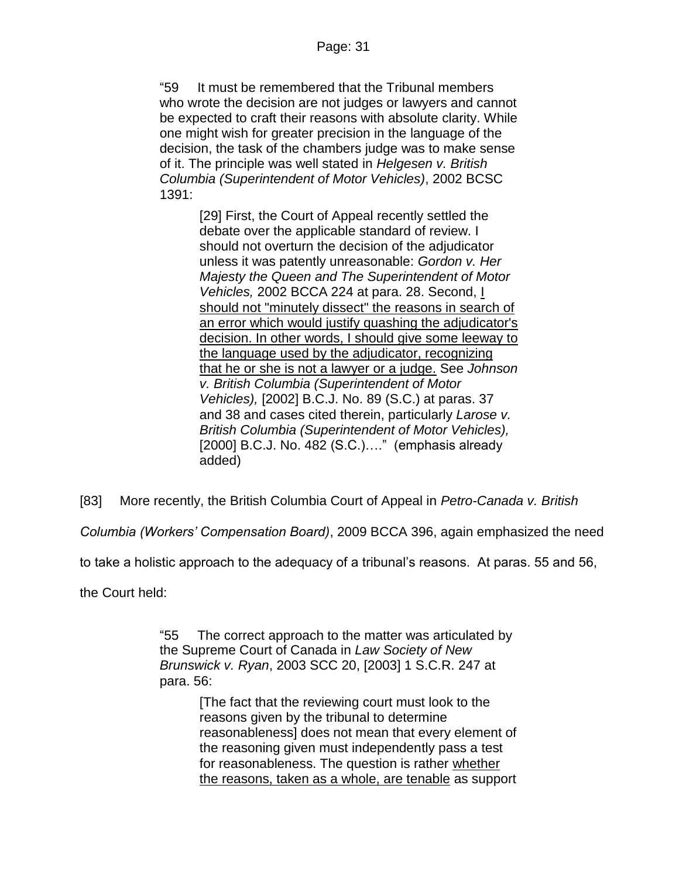"59 It must be remembered that the Tribunal members who wrote the decision are not judges or lawyers and cannot be expected to craft their reasons with absolute clarity. While one might wish for greater precision in the language of the decision, the task of the chambers judge was to make sense of it. The principle was well stated in *Helgesen v. British Columbia (Superintendent of Motor Vehicles)*, [2002 BCSC](http://www.lexisnexis.com/ca/legal/search/runRemoteLink.do?A=0.5519279278025813&bct=A&service=citation&risb=21_T20150875862&langcountry=CA&linkInfo=F%23CA%23BCSC%23sel1%252002%25year%252002%25decisiondate%252002%25onum%251391%25)  [1391:](http://www.lexisnexis.com/ca/legal/search/runRemoteLink.do?A=0.5519279278025813&bct=A&service=citation&risb=21_T20150875862&langcountry=CA&linkInfo=F%23CA%23BCSC%23sel1%252002%25year%252002%25decisiondate%252002%25onum%251391%25)

> [29] First, the Court of Appeal recently settled the debate over the applicable standard of review. I should not overturn the decision of the adjudicator unless it was patently unreasonable: *Gordon v. Her Majesty the Queen and The Superintendent of Motor Vehicles,* [2002 BCCA 224](http://www.lexisnexis.com/ca/legal/search/runRemoteLink.do?A=0.9998701639255646&bct=A&service=citation&risb=21_T20150875862&langcountry=CA&linkInfo=F%23CA%23BCCA%23sel1%252002%25year%252002%25decisiondate%252002%25onum%25224%25) at para. 28. Second, I should not "minutely dissect" the reasons in search of an error which would justify quashing the adjudicator's decision. In other words, I should give some leeway to the language used by the adjudicator, recognizing that he or she is not a lawyer or a judge. See *Johnson v. British Columbia (Superintendent of Motor Vehicles),* [\[2002\] B.C.J. No. 89](http://www.lexisnexis.com/ca/legal/search/runRemoteLink.do?A=0.5809281168604955&bct=A&service=citation&risb=21_T20150875862&langcountry=CA&linkInfo=F%23CA%23BCJ%23ref%2589%25sel1%252002%25year%252002%25) (S.C.) at paras. 37 and 38 and cases cited therein, particularly *Larose v. British Columbia (Superintendent of Motor Vehicles),* [\[2000\] B.C.J. No. 482](http://www.lexisnexis.com/ca/legal/search/runRemoteLink.do?A=0.4785467742707876&bct=A&service=citation&risb=21_T20150875862&langcountry=CA&linkInfo=F%23CA%23BCJ%23ref%25482%25sel1%252000%25year%252000%25) (S.C.)…." (emphasis already added)

[83] More recently, the British Columbia Court of Appeal in *Petro-Canada v. British* 

*Columbia (Workers' Compensation Board)*, 2009 BCCA 396, again emphasized the need

to take a holistic approach to the adequacy of a tribunal's reasons. At paras. 55 and 56,

the Court held:

"55 The correct approach to the matter was articulated by the Supreme Court of Canada in *Law Society of New Brunswick v. Ryan*, [2003 SCC 20,](http://www.lexisnexis.com/ca/legal/search/runRemoteLink.do?A=0.8893764443810476&bct=A&service=citation&risb=21_T20150946688&langcountry=CA&linkInfo=F%23CA%23SCC%23sel1%252003%25year%252003%25decisiondate%252003%25onum%2520%25) [\[2003\] 1 S.C.R. 247](http://www.lexisnexis.com/ca/legal/search/runRemoteLink.do?A=0.1440410515294841&bct=A&service=citation&risb=21_T20150946688&langcountry=CA&linkInfo=F%23CA%23SCR%23vol%251%25sel1%252003%25page%25247%25year%252003%25sel2%251%25) at para. 56:

> [The fact that the reviewing court must look to the reasons given by the tribunal to determine reasonableness] does not mean that every element of the reasoning given must independently pass a test for reasonableness. The question is rather whether the reasons, taken as a whole, are tenable as support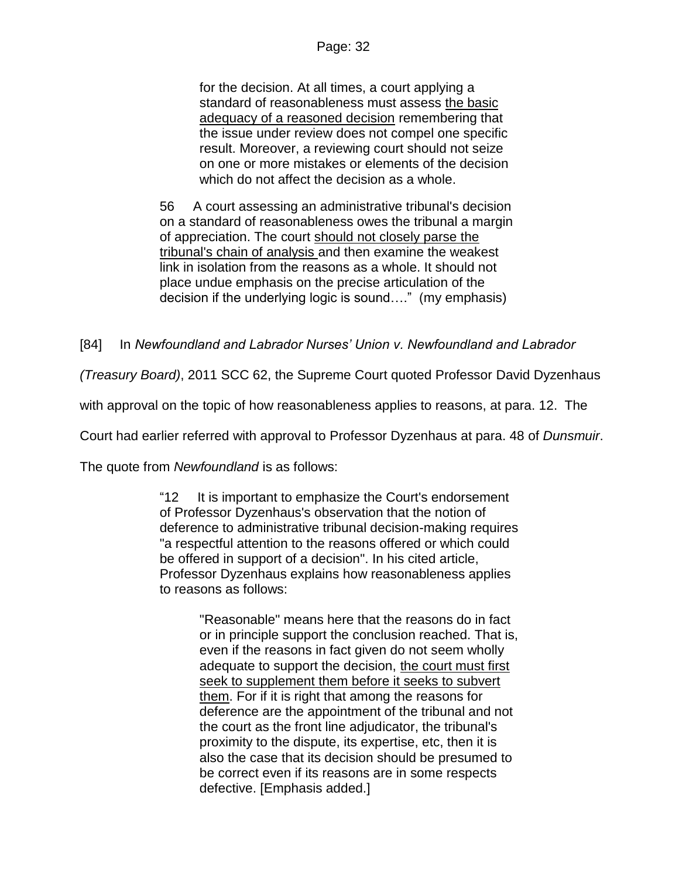for the decision. At all times, a court applying a standard of reasonableness must assess the basic adequacy of a reasoned decision remembering that the issue under review does not compel one specific result. Moreover, a reviewing court should not seize on one or more mistakes or elements of the decision which do not affect the decision as a whole.

56 A court assessing an administrative tribunal's decision on a standard of reasonableness owes the tribunal a margin of appreciation. The court should not closely parse the tribunal's chain of analysis and then examine the weakest link in isolation from the reasons as a whole. It should not place undue emphasis on the precise articulation of the decision if the underlying logic is sound…." (my emphasis)

### [84] In *Newfoundland and Labrador Nurses' Union v. Newfoundland and Labrador*

*(Treasury Board)*, 2011 SCC 62, the Supreme Court quoted Professor David Dyzenhaus

with approval on the topic of how reasonableness applies to reasons, at para. 12. The

Court had earlier referred with approval to Professor Dyzenhaus at para. 48 of *Dunsmuir*.

The quote from *Newfoundland* is as follows:

"12 It is important to emphasize the Court's endorsement of Professor Dyzenhaus's observation that the notion of deference to administrative tribunal decision-making requires "a respectful attention to the reasons offered or which could be offered in support of a decision". In his cited article, Professor Dyzenhaus explains how reasonableness applies to reasons as follows:

> "Reasonable" means here that the reasons do in fact or in principle support the conclusion reached. That is, even if the reasons in fact given do not seem wholly adequate to support the decision, the court must first seek to supplement them before it seeks to subvert them. For if it is right that among the reasons for deference are the appointment of the tribunal and not the court as the front line adjudicator, the tribunal's proximity to the dispute, its expertise, etc, then it is also the case that its decision should be presumed to be correct even if its reasons are in some respects defective. [Emphasis added.]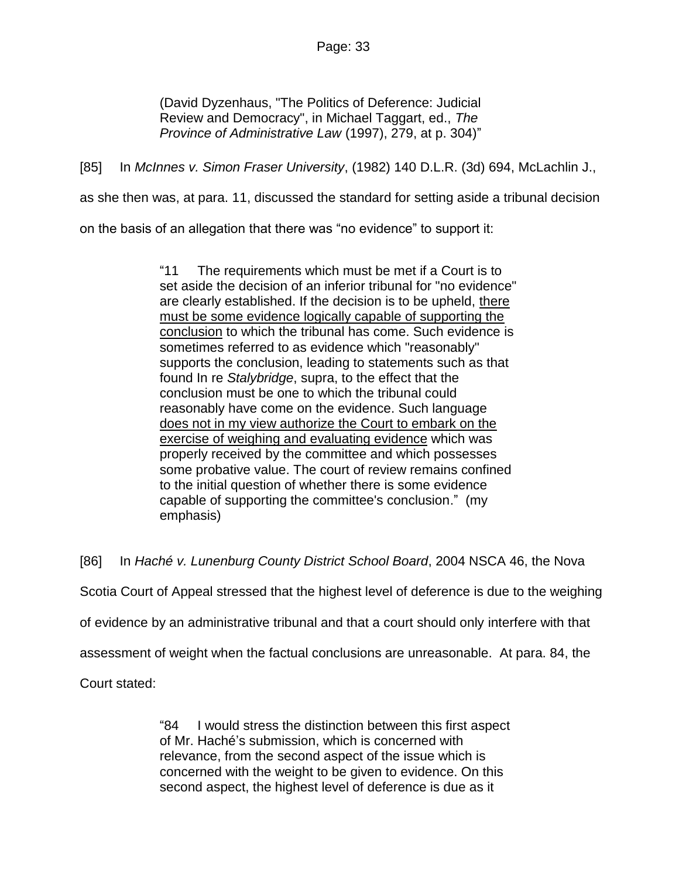(David Dyzenhaus, "The Politics of Deference: Judicial Review and Democracy", in Michael Taggart, ed., *The Province of Administrative Law* (1997), 279, at p. 304)"

[85] In *McInnes v. Simon Fraser University*, (1982) 140 D.L.R. (3d) 694, McLachlin J.,

as she then was, at para. 11, discussed the standard for setting aside a tribunal decision

on the basis of an allegation that there was "no evidence" to support it:

"11 The requirements which must be met if a Court is to set aside the decision of an inferior tribunal for "no evidence" are clearly established. If the decision is to be upheld, there must be some evidence logically capable of supporting the conclusion to which the tribunal has come. Such evidence is sometimes referred to as evidence which "reasonably" supports the conclusion, leading to statements such as that found In re *Stalybridge*, supra, to the effect that the conclusion must be one to which the tribunal could reasonably have come on the evidence. Such language does not in my view authorize the Court to embark on the exercise of weighing and evaluating evidence which was properly received by the committee and which possesses some probative value. The court of review remains confined to the initial question of whether there is some evidence capable of supporting the committee's conclusion." (my emphasis)

[86] In *Haché v. Lunenburg County District School Board*, 2004 NSCA 46, the Nova

Scotia Court of Appeal stressed that the highest level of deference is due to the weighing

of evidence by an administrative tribunal and that a court should only interfere with that

assessment of weight when the factual conclusions are unreasonable. At para. 84, the

Court stated:

"84 I would stress the distinction between this first aspect of Mr. Haché's submission, which is concerned with relevance, from the second aspect of the issue which is concerned with the weight to be given to evidence. On this second aspect, the highest level of deference is due as it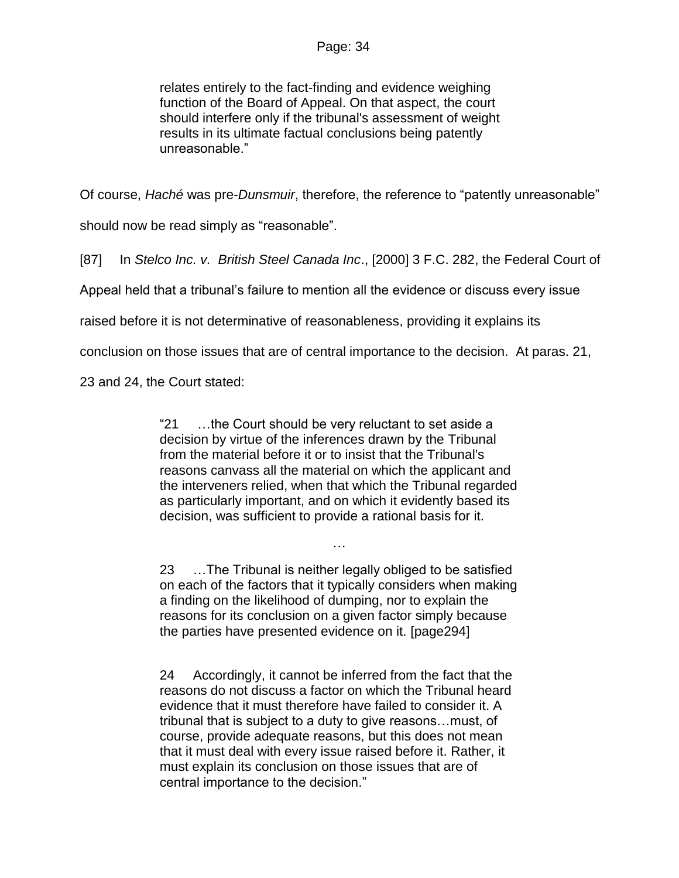relates entirely to the fact-finding and evidence weighing function of the Board of Appeal. On that aspect, the court should interfere only if the tribunal's assessment of weight results in its ultimate factual conclusions being patently unreasonable."

Of course, *Haché* was pre-*Dunsmuir*, therefore, the reference to "patently unreasonable"

should now be read simply as "reasonable".

[87] In *Stelco Inc. v. British Steel Canada Inc*., [2000] 3 F.C. 282, the Federal Court of

Appeal held that a tribunal's failure to mention all the evidence or discuss every issue

raised before it is not determinative of reasonableness, providing it explains its

conclusion on those issues that are of central importance to the decision. At paras. 21,

23 and 24, the Court stated:

"21 …the Court should be very reluctant to set aside a decision by virtue of the inferences drawn by the Tribunal from the material before it or to insist that the Tribunal's reasons canvass all the material on which the applicant and the interveners relied, when that which the Tribunal regarded as particularly important, and on which it evidently based its decision, was sufficient to provide a rational basis for it.

23 …The Tribunal is neither legally obliged to be satisfied on each of the factors that it typically considers when making a finding on the likelihood of dumping, nor to explain the reasons for its conclusion on a given factor simply because the parties have presented evidence on it. [page294]

…

24 Accordingly, it cannot be inferred from the fact that the reasons do not discuss a factor on which the Tribunal heard evidence that it must therefore have failed to consider it. A tribunal that is subject to a duty to give reasons…must, of course, provide adequate reasons, but this does not mean that it must deal with every issue raised before it. Rather, it must explain its conclusion on those issues that are of central importance to the decision."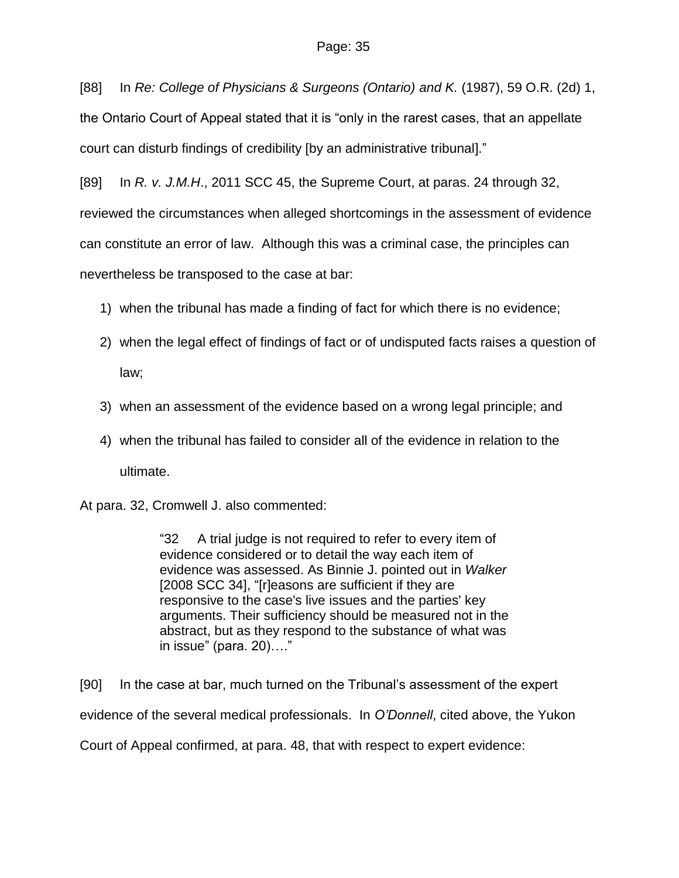[88] In *Re: College of Physicians & Surgeons (Ontario) and K.* (1987), 59 O.R. (2d) 1, the Ontario Court of Appeal stated that it is "only in the rarest cases, that an appellate court can disturb findings of credibility [by an administrative tribunal]."

[89] In *R. v. J.M.H*., 2011 SCC 45, the Supreme Court, at paras. 24 through 32, reviewed the circumstances when alleged shortcomings in the assessment of evidence can constitute an error of law. Although this was a criminal case, the principles can nevertheless be transposed to the case at bar:

- 1) when the tribunal has made a finding of fact for which there is no evidence;
- 2) when the legal effect of findings of fact or of undisputed facts raises a question of law;
- 3) when an assessment of the evidence based on a wrong legal principle; and
- 4) when the tribunal has failed to consider all of the evidence in relation to the ultimate.

At para. 32, Cromwell J. also commented:

"32 A trial judge is not required to refer to every item of evidence considered or to detail the way each item of evidence was assessed. As Binnie J. pointed out in *Walker* [2008 SCC 34], "[r]easons are sufficient if they are responsive to the case's live issues and the parties' key arguments. Their sufficiency should be measured not in the abstract, but as they respond to the substance of what was in issue" (para. 20)…."

[90] In the case at bar, much turned on the Tribunal's assessment of the expert evidence of the several medical professionals. In *O'Donnell*, cited above, the Yukon Court of Appeal confirmed, at para. 48, that with respect to expert evidence: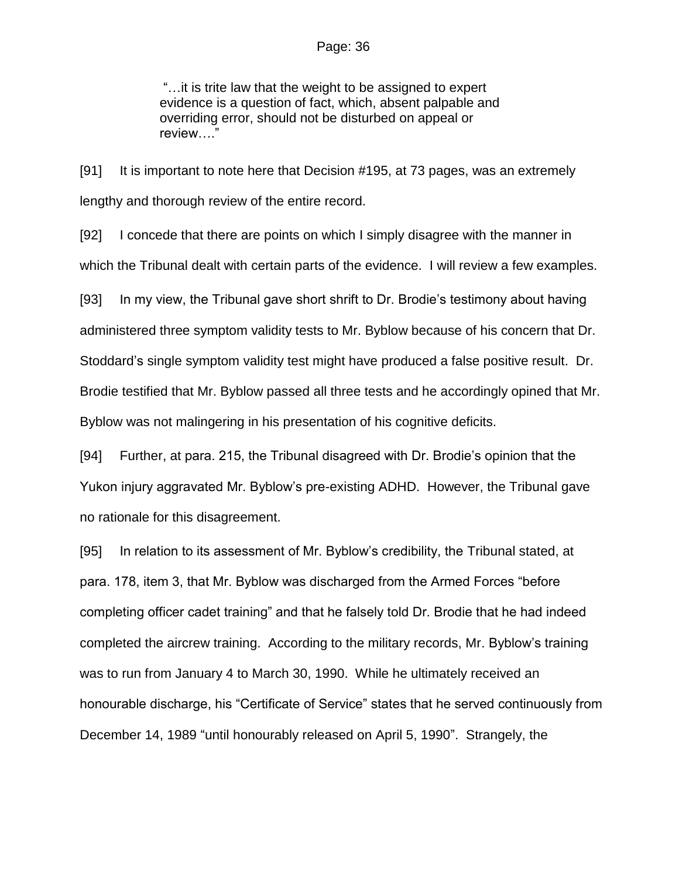"…it is trite law that the weight to be assigned to expert evidence is a question of fact, which, absent palpable and overriding error, should not be disturbed on appeal or review…."

[91] It is important to note here that Decision #195, at 73 pages, was an extremely lengthy and thorough review of the entire record.

[92] I concede that there are points on which I simply disagree with the manner in which the Tribunal dealt with certain parts of the evidence. I will review a few examples.

[93] In my view, the Tribunal gave short shrift to Dr. Brodie's testimony about having administered three symptom validity tests to Mr. Byblow because of his concern that Dr. Stoddard's single symptom validity test might have produced a false positive result. Dr. Brodie testified that Mr. Byblow passed all three tests and he accordingly opined that Mr. Byblow was not malingering in his presentation of his cognitive deficits.

[94] Further, at para. 215, the Tribunal disagreed with Dr. Brodie's opinion that the Yukon injury aggravated Mr. Byblow's pre-existing ADHD. However, the Tribunal gave no rationale for this disagreement.

[95] In relation to its assessment of Mr. Byblow's credibility, the Tribunal stated, at para. 178, item 3, that Mr. Byblow was discharged from the Armed Forces "before completing officer cadet training" and that he falsely told Dr. Brodie that he had indeed completed the aircrew training. According to the military records, Mr. Byblow's training was to run from January 4 to March 30, 1990. While he ultimately received an honourable discharge, his "Certificate of Service" states that he served continuously from December 14, 1989 "until honourably released on April 5, 1990". Strangely, the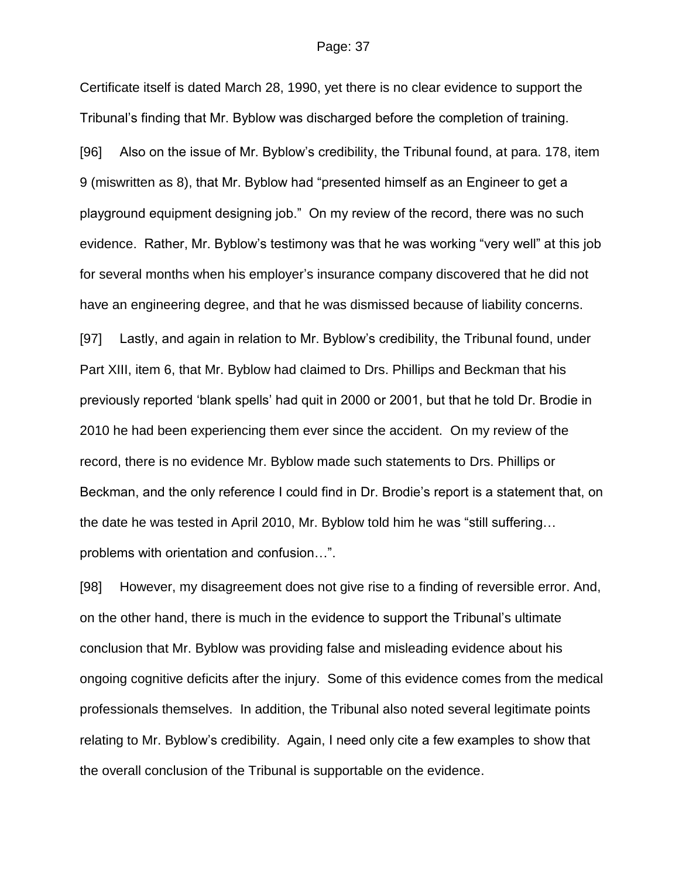Certificate itself is dated March 28, 1990, yet there is no clear evidence to support the Tribunal's finding that Mr. Byblow was discharged before the completion of training.

[96] Also on the issue of Mr. Byblow's credibility, the Tribunal found, at para. 178, item 9 (miswritten as 8), that Mr. Byblow had "presented himself as an Engineer to get a playground equipment designing job." On my review of the record, there was no such evidence. Rather, Mr. Byblow's testimony was that he was working "very well" at this job for several months when his employer's insurance company discovered that he did not have an engineering degree, and that he was dismissed because of liability concerns.

[97] Lastly, and again in relation to Mr. Byblow's credibility, the Tribunal found, under Part XIII, item 6, that Mr. Byblow had claimed to Drs. Phillips and Beckman that his previously reported 'blank spells' had quit in 2000 or 2001, but that he told Dr. Brodie in 2010 he had been experiencing them ever since the accident. On my review of the record, there is no evidence Mr. Byblow made such statements to Drs. Phillips or Beckman, and the only reference I could find in Dr. Brodie's report is a statement that, on the date he was tested in April 2010, Mr. Byblow told him he was "still suffering… problems with orientation and confusion…".

[98] However, my disagreement does not give rise to a finding of reversible error. And, on the other hand, there is much in the evidence to support the Tribunal's ultimate conclusion that Mr. Byblow was providing false and misleading evidence about his ongoing cognitive deficits after the injury. Some of this evidence comes from the medical professionals themselves. In addition, the Tribunal also noted several legitimate points relating to Mr. Byblow's credibility. Again, I need only cite a few examples to show that the overall conclusion of the Tribunal is supportable on the evidence.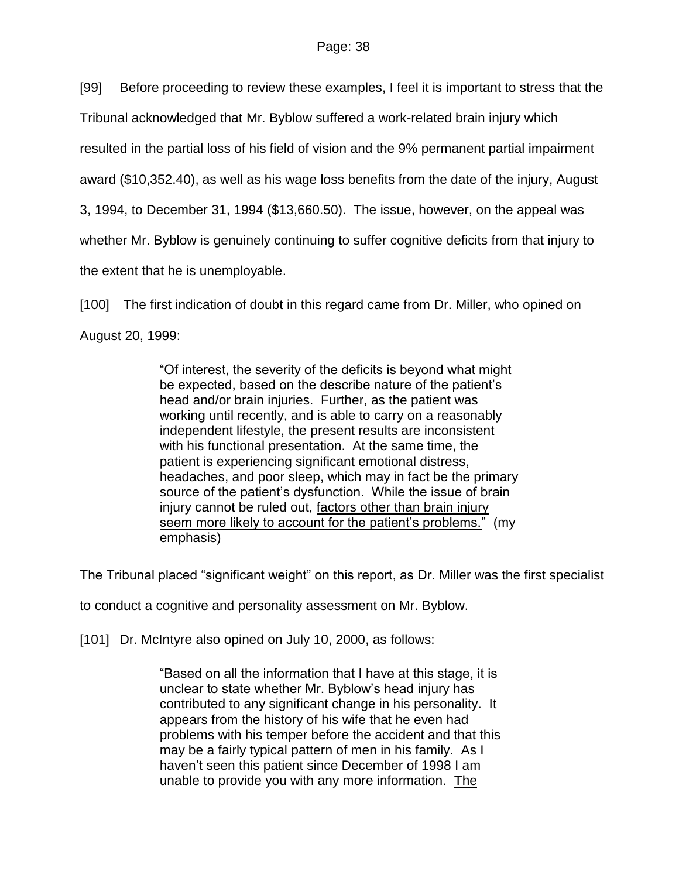[99] Before proceeding to review these examples, I feel it is important to stress that the

Tribunal acknowledged that Mr. Byblow suffered a work-related brain injury which

resulted in the partial loss of his field of vision and the 9% permanent partial impairment

award (\$10,352.40), as well as his wage loss benefits from the date of the injury, August

3, 1994, to December 31, 1994 (\$13,660.50). The issue, however, on the appeal was

whether Mr. Byblow is genuinely continuing to suffer cognitive deficits from that injury to

the extent that he is unemployable.

[100] The first indication of doubt in this regard came from Dr. Miller, who opined on

August 20, 1999:

"Of interest, the severity of the deficits is beyond what might be expected, based on the describe nature of the patient's head and/or brain injuries. Further, as the patient was working until recently, and is able to carry on a reasonably independent lifestyle, the present results are inconsistent with his functional presentation. At the same time, the patient is experiencing significant emotional distress, headaches, and poor sleep, which may in fact be the primary source of the patient's dysfunction. While the issue of brain injury cannot be ruled out, factors other than brain injury seem more likely to account for the patient's problems." (my emphasis)

The Tribunal placed "significant weight" on this report, as Dr. Miller was the first specialist

to conduct a cognitive and personality assessment on Mr. Byblow.

[101] Dr. McIntyre also opined on July 10, 2000, as follows:

"Based on all the information that I have at this stage, it is unclear to state whether Mr. Byblow's head injury has contributed to any significant change in his personality. It appears from the history of his wife that he even had problems with his temper before the accident and that this may be a fairly typical pattern of men in his family. As I haven't seen this patient since December of 1998 I am unable to provide you with any more information. The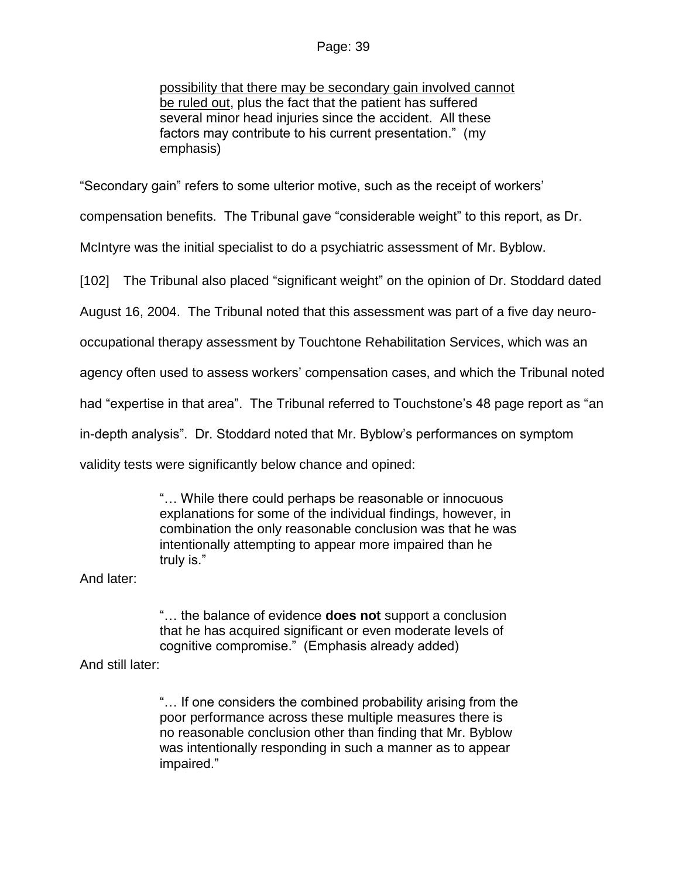possibility that there may be secondary gain involved cannot be ruled out, plus the fact that the patient has suffered several minor head injuries since the accident. All these factors may contribute to his current presentation." (my emphasis)

"Secondary gain" refers to some ulterior motive, such as the receipt of workers'

compensation benefits. The Tribunal gave "considerable weight" to this report, as Dr.

McIntyre was the initial specialist to do a psychiatric assessment of Mr. Byblow.

[102] The Tribunal also placed "significant weight" on the opinion of Dr. Stoddard dated

August 16, 2004. The Tribunal noted that this assessment was part of a five day neuro-

occupational therapy assessment by Touchtone Rehabilitation Services, which was an

agency often used to assess workers' compensation cases, and which the Tribunal noted

had "expertise in that area". The Tribunal referred to Touchstone's 48 page report as "an

in-depth analysis". Dr. Stoddard noted that Mr. Byblow's performances on symptom

validity tests were significantly below chance and opined:

"… While there could perhaps be reasonable or innocuous explanations for some of the individual findings, however, in combination the only reasonable conclusion was that he was intentionally attempting to appear more impaired than he truly is."

And later:

"… the balance of evidence **does not** support a conclusion that he has acquired significant or even moderate levels of cognitive compromise." (Emphasis already added)

And still later:

"… If one considers the combined probability arising from the poor performance across these multiple measures there is no reasonable conclusion other than finding that Mr. Byblow was intentionally responding in such a manner as to appear impaired."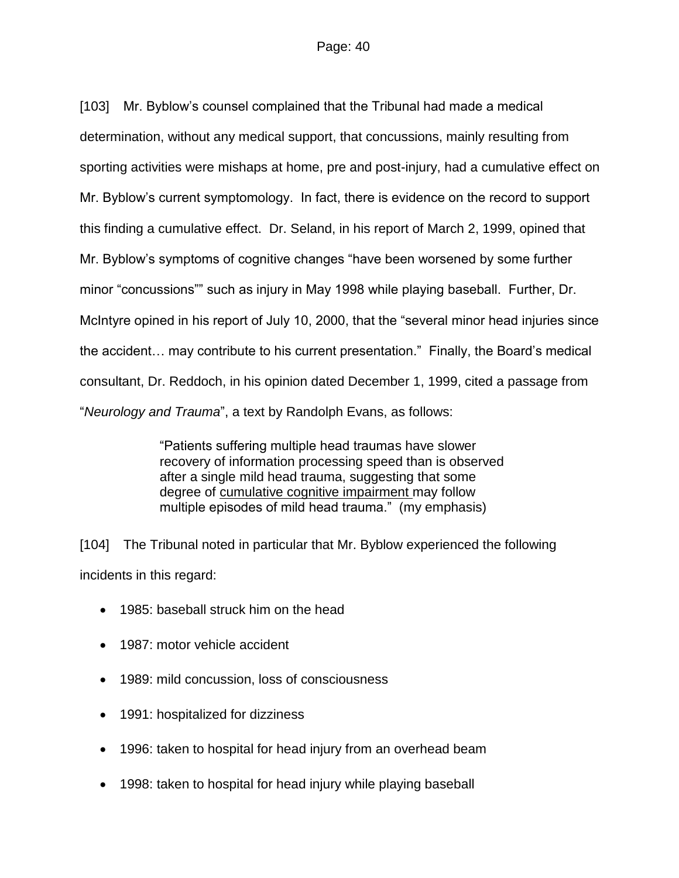[103] Mr. Byblow's counsel complained that the Tribunal had made a medical determination, without any medical support, that concussions, mainly resulting from sporting activities were mishaps at home, pre and post-injury, had a cumulative effect on Mr. Byblow's current symptomology. In fact, there is evidence on the record to support this finding a cumulative effect. Dr. Seland, in his report of March 2, 1999, opined that Mr. Byblow's symptoms of cognitive changes "have been worsened by some further minor "concussions"" such as injury in May 1998 while playing baseball. Further, Dr. McIntyre opined in his report of July 10, 2000, that the "several minor head injuries since the accident… may contribute to his current presentation." Finally, the Board's medical consultant, Dr. Reddoch, in his opinion dated December 1, 1999, cited a passage from "*Neurology and Trauma*", a text by Randolph Evans, as follows:

> "Patients suffering multiple head traumas have slower recovery of information processing speed than is observed after a single mild head trauma, suggesting that some degree of cumulative cognitive impairment may follow multiple episodes of mild head trauma." (my emphasis)

[104] The Tribunal noted in particular that Mr. Byblow experienced the following incidents in this regard:

- 1985: baseball struck him on the head
- 1987: motor vehicle accident
- 1989: mild concussion, loss of consciousness
- 1991: hospitalized for dizziness
- 1996: taken to hospital for head injury from an overhead beam
- 1998: taken to hospital for head injury while playing baseball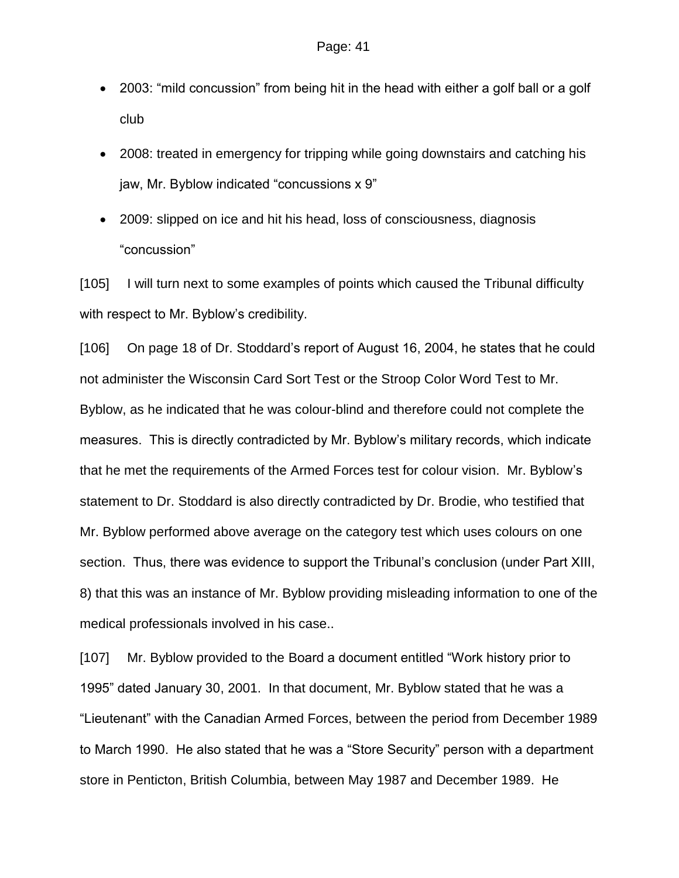- 2003: "mild concussion" from being hit in the head with either a golf ball or a golf club
- 2008: treated in emergency for tripping while going downstairs and catching his jaw, Mr. Byblow indicated "concussions x 9"
- 2009: slipped on ice and hit his head, loss of consciousness, diagnosis "concussion"

[105] I will turn next to some examples of points which caused the Tribunal difficulty with respect to Mr. Byblow's credibility.

[106] On page 18 of Dr. Stoddard's report of August 16, 2004, he states that he could not administer the Wisconsin Card Sort Test or the Stroop Color Word Test to Mr. Byblow, as he indicated that he was colour-blind and therefore could not complete the measures. This is directly contradicted by Mr. Byblow's military records, which indicate that he met the requirements of the Armed Forces test for colour vision. Mr. Byblow's statement to Dr. Stoddard is also directly contradicted by Dr. Brodie, who testified that Mr. Byblow performed above average on the category test which uses colours on one section. Thus, there was evidence to support the Tribunal's conclusion (under Part XIII, 8) that this was an instance of Mr. Byblow providing misleading information to one of the medical professionals involved in his case..

[107] Mr. Byblow provided to the Board a document entitled "Work history prior to 1995" dated January 30, 2001. In that document, Mr. Byblow stated that he was a "Lieutenant" with the Canadian Armed Forces, between the period from December 1989 to March 1990. He also stated that he was a "Store Security" person with a department store in Penticton, British Columbia, between May 1987 and December 1989. He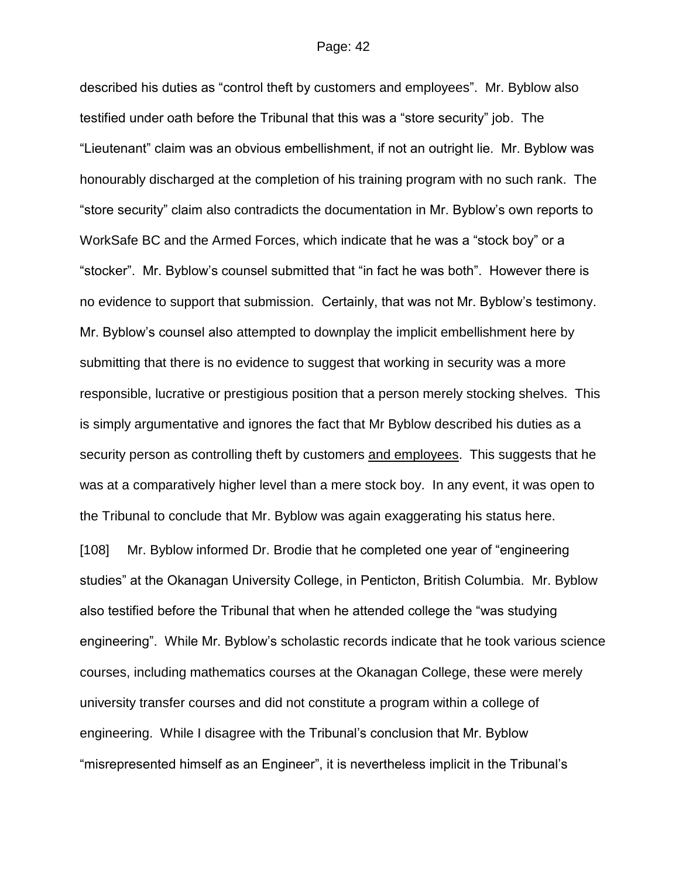described his duties as "control theft by customers and employees". Mr. Byblow also testified under oath before the Tribunal that this was a "store security" job. The "Lieutenant" claim was an obvious embellishment, if not an outright lie. Mr. Byblow was honourably discharged at the completion of his training program with no such rank. The "store security" claim also contradicts the documentation in Mr. Byblow's own reports to WorkSafe BC and the Armed Forces, which indicate that he was a "stock boy" or a "stocker". Mr. Byblow's counsel submitted that "in fact he was both". However there is no evidence to support that submission. Certainly, that was not Mr. Byblow's testimony. Mr. Byblow's counsel also attempted to downplay the implicit embellishment here by submitting that there is no evidence to suggest that working in security was a more responsible, lucrative or prestigious position that a person merely stocking shelves. This is simply argumentative and ignores the fact that Mr Byblow described his duties as a security person as controlling theft by customers and employees. This suggests that he was at a comparatively higher level than a mere stock boy. In any event, it was open to the Tribunal to conclude that Mr. Byblow was again exaggerating his status here.

[108] Mr. Byblow informed Dr. Brodie that he completed one year of "engineering studies" at the Okanagan University College, in Penticton, British Columbia. Mr. Byblow also testified before the Tribunal that when he attended college the "was studying engineering". While Mr. Byblow's scholastic records indicate that he took various science courses, including mathematics courses at the Okanagan College, these were merely university transfer courses and did not constitute a program within a college of engineering. While I disagree with the Tribunal's conclusion that Mr. Byblow "misrepresented himself as an Engineer", it is nevertheless implicit in the Tribunal's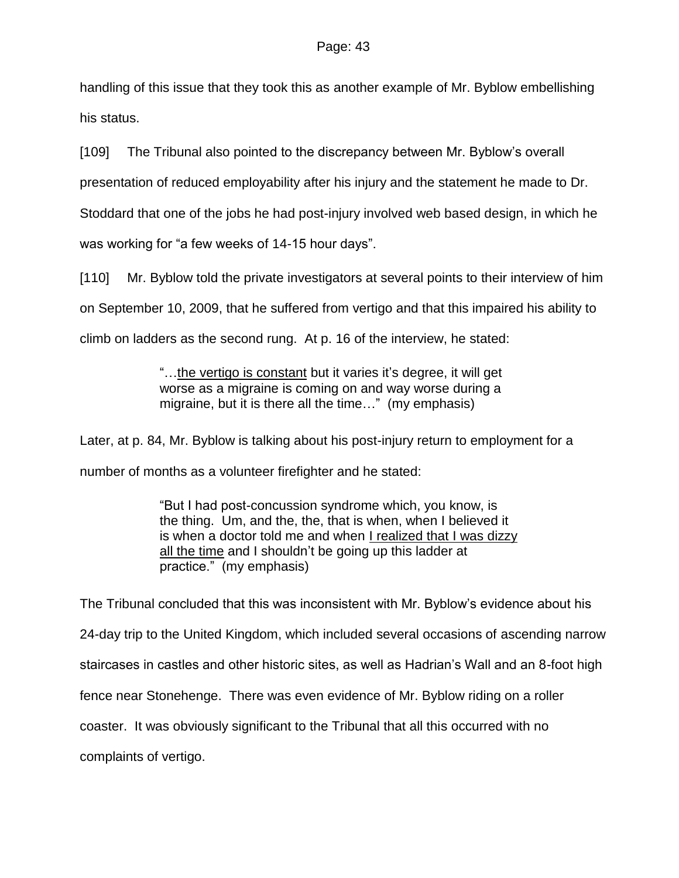handling of this issue that they took this as another example of Mr. Byblow embellishing his status.

[109] The Tribunal also pointed to the discrepancy between Mr. Byblow's overall

presentation of reduced employability after his injury and the statement he made to Dr.

Stoddard that one of the jobs he had post-injury involved web based design, in which he

was working for "a few weeks of 14-15 hour days".

[110] Mr. Byblow told the private investigators at several points to their interview of him on September 10, 2009, that he suffered from vertigo and that this impaired his ability to climb on ladders as the second rung. At p. 16 of the interview, he stated:

> "…the vertigo is constant but it varies it's degree, it will get worse as a migraine is coming on and way worse during a migraine, but it is there all the time…" (my emphasis)

Later, at p. 84, Mr. Byblow is talking about his post-injury return to employment for a number of months as a volunteer firefighter and he stated:

> "But I had post-concussion syndrome which, you know, is the thing. Um, and the, the, that is when, when I believed it is when a doctor told me and when I realized that I was dizzy all the time and I shouldn't be going up this ladder at practice." (my emphasis)

The Tribunal concluded that this was inconsistent with Mr. Byblow's evidence about his 24-day trip to the United Kingdom, which included several occasions of ascending narrow staircases in castles and other historic sites, as well as Hadrian's Wall and an 8-foot high fence near Stonehenge. There was even evidence of Mr. Byblow riding on a roller coaster. It was obviously significant to the Tribunal that all this occurred with no complaints of vertigo.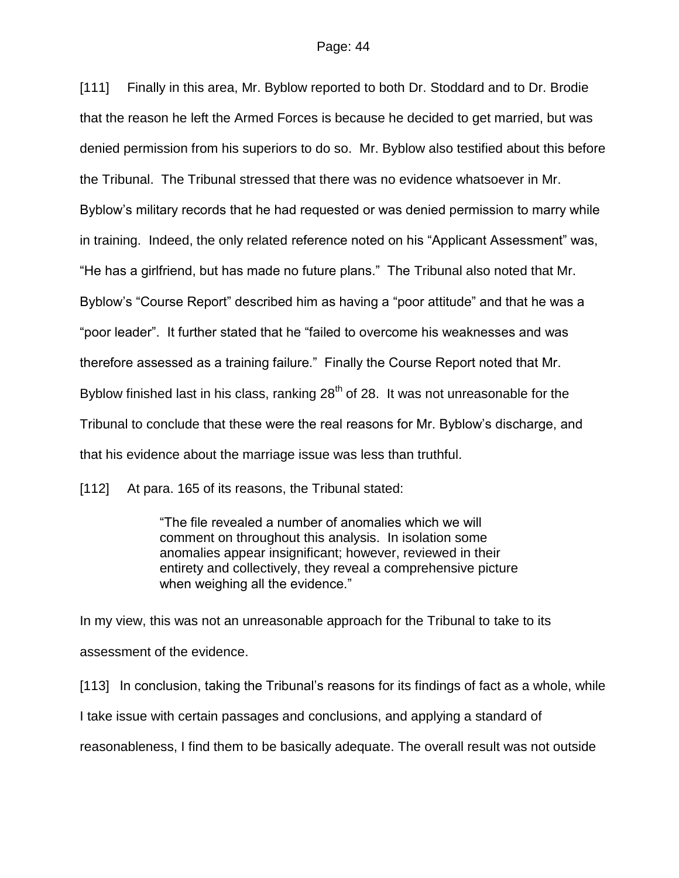[111] Finally in this area, Mr. Byblow reported to both Dr. Stoddard and to Dr. Brodie that the reason he left the Armed Forces is because he decided to get married, but was denied permission from his superiors to do so. Mr. Byblow also testified about this before the Tribunal. The Tribunal stressed that there was no evidence whatsoever in Mr. Byblow's military records that he had requested or was denied permission to marry while in training. Indeed, the only related reference noted on his "Applicant Assessment" was, "He has a girlfriend, but has made no future plans." The Tribunal also noted that Mr. Byblow's "Course Report" described him as having a "poor attitude" and that he was a "poor leader". It further stated that he "failed to overcome his weaknesses and was therefore assessed as a training failure." Finally the Course Report noted that Mr. Byblow finished last in his class, ranking  $28<sup>th</sup>$  of 28. It was not unreasonable for the Tribunal to conclude that these were the real reasons for Mr. Byblow's discharge, and that his evidence about the marriage issue was less than truthful.

[112] At para. 165 of its reasons, the Tribunal stated:

"The file revealed a number of anomalies which we will comment on throughout this analysis. In isolation some anomalies appear insignificant; however, reviewed in their entirety and collectively, they reveal a comprehensive picture when weighing all the evidence."

In my view, this was not an unreasonable approach for the Tribunal to take to its assessment of the evidence.

[113] In conclusion, taking the Tribunal's reasons for its findings of fact as a whole, while I take issue with certain passages and conclusions, and applying a standard of reasonableness, I find them to be basically adequate. The overall result was not outside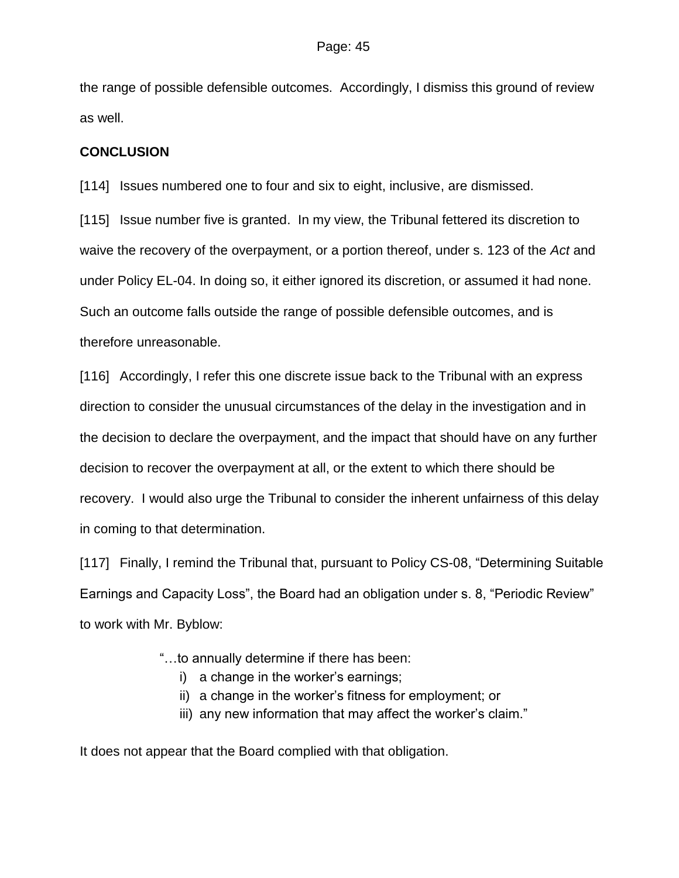the range of possible defensible outcomes. Accordingly, I dismiss this ground of review as well.

### **CONCLUSION**

[114] Issues numbered one to four and six to eight, inclusive, are dismissed.

[115] Issue number five is granted. In my view, the Tribunal fettered its discretion to waive the recovery of the overpayment, or a portion thereof, under s. 123 of the *Act* and under Policy EL-04. In doing so, it either ignored its discretion, or assumed it had none. Such an outcome falls outside the range of possible defensible outcomes, and is therefore unreasonable.

[116] Accordingly, I refer this one discrete issue back to the Tribunal with an express direction to consider the unusual circumstances of the delay in the investigation and in the decision to declare the overpayment, and the impact that should have on any further decision to recover the overpayment at all, or the extent to which there should be recovery. I would also urge the Tribunal to consider the inherent unfairness of this delay in coming to that determination.

[117] Finally, I remind the Tribunal that, pursuant to Policy CS-08, "Determining Suitable Earnings and Capacity Loss", the Board had an obligation under s. 8, "Periodic Review" to work with Mr. Byblow:

- "…to annually determine if there has been:
	- i) a change in the worker's earnings;
	- ii) a change in the worker's fitness for employment; or
	- iii) any new information that may affect the worker's claim."

It does not appear that the Board complied with that obligation.